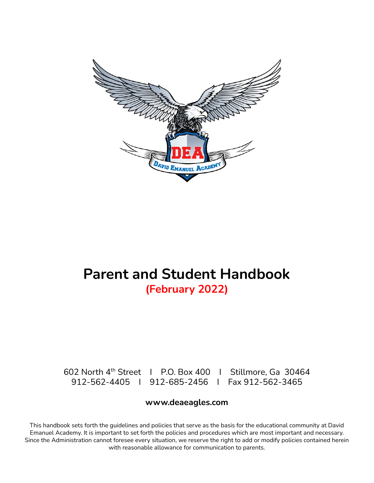

# **Parent and Student Handbook (February 2022)**

602 North 4 th Street I P.O. Box 400 I Stillmore, Ga 30464 912-562-4405 I 912-685-2456 I Fax 912-562-3465

# **www.deaeagles.com**

This handbook sets forth the guidelines and policies that serve as the basis for the educational community at David Emanuel Academy. It is important to set forth the policies and procedures which are most important and necessary. Since the Administration cannot foresee every situation, we reserve the right to add or modify policies contained herein with reasonable allowance for communication to parents.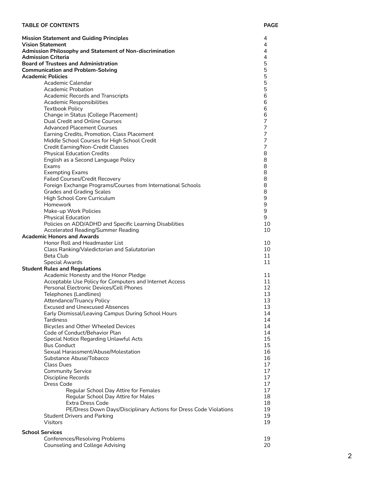### **TABLE OF CONTENTS**

| <b>Mission Statement and Guiding Principles</b><br><b>Vision Statement</b><br>Admission Philosophy and Statement of Non-discrimination<br><b>Admission Criteria</b><br><b>Board of Trustees and Administration</b><br><b>Communication and Problem-Solving</b><br><b>Academic Policies</b><br>Academic Calendar<br><b>Academic Probation</b><br><b>Academic Records and Transcripts</b><br>Academic Responsibilities<br><b>Textbook Policy</b><br>Change in Status (College Placement)<br><b>Dual Credit and Online Courses</b><br><b>Advanced Placement Courses</b><br>Earning Credits, Promotion, Class Placement<br>Middle School Courses for High School Credit<br>Credit Earning/Non-Credit Classes<br><b>Physical Education Credits</b><br>English as a Second Language Policy<br>Exams<br><b>Exempting Exams</b><br><b>Failed Courses/Credit Recovery</b><br>Foreign Exchange Programs/Courses from International Schools<br><b>Grades and Grading Scales</b><br>High School Core Curriculum<br>Homework<br>Make-up Work Policies<br><b>Physical Education</b><br>Policies on ADD/ADHD and Specific Learning Disabilities | 4<br>4<br>4<br>4<br>5<br>5<br>5<br>5<br>5<br>6<br>6<br>6<br>6<br>$\overline{7}$<br>7<br>7<br>7<br>7<br>8<br>8<br>8<br>8<br>8<br>8<br>8<br>9<br>9<br>9<br>9<br>10 |
|----------------------------------------------------------------------------------------------------------------------------------------------------------------------------------------------------------------------------------------------------------------------------------------------------------------------------------------------------------------------------------------------------------------------------------------------------------------------------------------------------------------------------------------------------------------------------------------------------------------------------------------------------------------------------------------------------------------------------------------------------------------------------------------------------------------------------------------------------------------------------------------------------------------------------------------------------------------------------------------------------------------------------------------------------------------------------------------------------------------------------------|------------------------------------------------------------------------------------------------------------------------------------------------------------------|
| <b>Accelerated Reading/Summer Reading</b><br><b>Academic Honors and Awards</b>                                                                                                                                                                                                                                                                                                                                                                                                                                                                                                                                                                                                                                                                                                                                                                                                                                                                                                                                                                                                                                                   | 10                                                                                                                                                               |
| Honor Roll and Headmaster List<br>Class Ranking/Valedictorian and Salutatorian<br><b>Beta Club</b><br><b>Special Awards</b>                                                                                                                                                                                                                                                                                                                                                                                                                                                                                                                                                                                                                                                                                                                                                                                                                                                                                                                                                                                                      | 10<br>10<br>11<br>11                                                                                                                                             |
| <b>Student Rules and Regulations</b><br>Academic Honesty and the Honor Pledge<br>Acceptable Use Policy for Computers and Internet Access<br>Personal Electronic Devices/Cell Phones<br>Telephones (Landlines)<br><b>Attendance/Truancy Policy</b><br><b>Excused and Unexcused Absences</b><br>Early Dismissal/Leaving Campus During School Hours<br><b>Tardiness</b><br><b>Bicycles and Other Wheeled Devices</b><br>Code of Conduct/Behavior Plan<br>Special Notice Regarding Unlawful Acts<br><b>Bus Conduct</b><br>Sexual Harassment/Abuse/Molestation<br>Substance Abuse/Tobacco<br><b>Class Dues</b><br><b>Community Service</b><br>Discipline Records<br><b>Dress Code</b><br>Regular School Day Attire for Females<br>Regular School Day Attire for Males<br><b>Extra Dress Code</b><br>PE/Dress Down Days/Disciplinary Actions for Dress Code Violations<br><b>Student Drivers and Parking</b><br><b>Visitors</b>                                                                                                                                                                                                        | 11<br>11<br>12<br>13<br>13<br>13<br>14<br>14<br>14<br>14<br>15<br>15<br>16<br>16<br>17<br>17<br>17<br>17<br>17<br>18<br>18<br>19<br>19<br>19                     |
| <b>School Services</b><br>Conferences/Resolving Problems<br><b>Counseling and College Advising</b>                                                                                                                                                                                                                                                                                                                                                                                                                                                                                                                                                                                                                                                                                                                                                                                                                                                                                                                                                                                                                               | 19<br>20                                                                                                                                                         |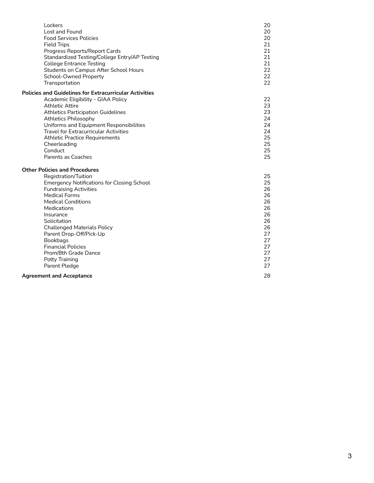| Lockers<br>Lost and Found<br><b>Food Services Policies</b><br><b>Field Trips</b><br>Progress Reports/Report Cards<br>Standardized Testing/College Entry/AP Testing<br><b>College Entrance Testing</b><br><b>Students on Campus After School Hours</b><br><b>School-Owned Property</b><br>Transportation | 20<br>20<br>20<br>21<br>21<br>21<br>21<br>22<br>22<br>22 |
|---------------------------------------------------------------------------------------------------------------------------------------------------------------------------------------------------------------------------------------------------------------------------------------------------------|----------------------------------------------------------|
| <b>Policies and Guidelines for Extracurricular Activities</b>                                                                                                                                                                                                                                           |                                                          |
| Academic Eligibility - GIAA Policy<br><b>Athletic Attire</b>                                                                                                                                                                                                                                            | 22<br>23                                                 |
| <b>Athletics Participation Guidelines</b>                                                                                                                                                                                                                                                               | 23                                                       |
| <b>Athletics Philosophy</b>                                                                                                                                                                                                                                                                             | 24                                                       |
| Uniforms and Equipment Responsibilities                                                                                                                                                                                                                                                                 | 24                                                       |
| <b>Travel for Extracurricular Activities</b>                                                                                                                                                                                                                                                            | 24                                                       |
| <b>Athletic Practice Requirements</b>                                                                                                                                                                                                                                                                   | 25                                                       |
| Cheerleading<br>Conduct                                                                                                                                                                                                                                                                                 | 25<br>25                                                 |
| Parents as Coaches                                                                                                                                                                                                                                                                                      | 25                                                       |
| <b>Other Policies and Procedures</b>                                                                                                                                                                                                                                                                    |                                                          |
| Registration/Tuition                                                                                                                                                                                                                                                                                    | 25                                                       |
| <b>Emergency Notifications for Closing School</b>                                                                                                                                                                                                                                                       | 25                                                       |
| <b>Fundraising Activities</b>                                                                                                                                                                                                                                                                           | 26                                                       |
| <b>Medical Forms</b>                                                                                                                                                                                                                                                                                    | 26                                                       |
| <b>Medical Conditions</b><br><b>Medications</b>                                                                                                                                                                                                                                                         | 26<br>26                                                 |
| Insurance                                                                                                                                                                                                                                                                                               | 26                                                       |
| Solicitation                                                                                                                                                                                                                                                                                            | 26                                                       |
| <b>Challenged Materials Policy</b>                                                                                                                                                                                                                                                                      | 26                                                       |
| Parent Drop-Off/Pick-Up                                                                                                                                                                                                                                                                                 | 27                                                       |
| Bookbags                                                                                                                                                                                                                                                                                                | 27                                                       |
| <b>Financial Policies</b>                                                                                                                                                                                                                                                                               | 27                                                       |
| Prom/8th Grade Dance                                                                                                                                                                                                                                                                                    | 27<br>27                                                 |
| Potty Training<br>Parent Pledge                                                                                                                                                                                                                                                                         | 27                                                       |
|                                                                                                                                                                                                                                                                                                         |                                                          |
| <b>Agreement and Acceptance</b>                                                                                                                                                                                                                                                                         | 28                                                       |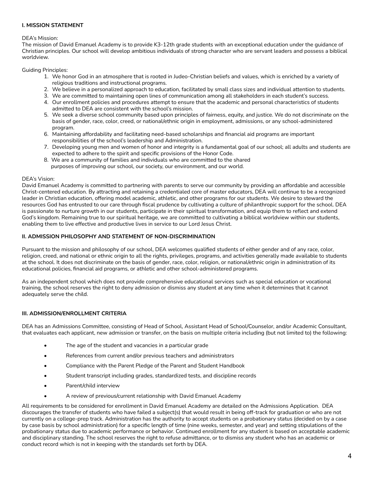# **I. MISSION STATEMENT**

### DEA's Mission:

The mission of David Emanuel Academy is to provide K3-12th grade students with an exceptional education under the guidance of Christian principles. Our school will develop ambitious individuals of strong character who are servant leaders and possess a biblical worldview.

Guiding Principles:

- 1. We honor God in an atmosphere that is rooted in Judeo-Christian beliefs and values, which is enriched by a variety of religious traditions and instructional programs.
- 2. We believe in a personalized approach to education, facilitated by small class sizes and individual attention to students.
- 3. We are committed to maintaining open lines of communication among all stakeholders in each student's success.
- 4. Our enrollment policies and procedures attempt to ensure that the academic and personal characteristics of students admitted to DEA are consistent with the school's mission.
- 5. We seek a diverse school community based upon principles of fairness, equity, and justice. We do not discriminate on the basis of gender, race, color, creed, or national/ethnic origin in employment, admissions, or any school-administered program.
- 6. Maintaining affordability and facilitating need-based scholarships and financial aid programs are important responsibilities of the school's leadership and Administration.
- 7. Developing young men and women of honor and integrity is a fundamental goal of our school; all adults and students are expected to adhere to the spirit and specific provisions of the Honor Code.
- 8. We are a community of families and individuals who are committed to the shared purposes of improving our school, our society, our environment, and our world.

### DEA's Vision:

David Emanuel Academy is committed to partnering with parents to serve our community by providing an affordable and accessible Christ-centered education. By attracting and retaining a credentialed core of master educators, DEA will continue to be a recognized leader in Christian education, offering model academic, athletic, and other programs for our students. We desire to steward the resources God has entrusted to our care through fiscal prudence by cultivating a culture of philanthropic support for the school. DEA is passionate to nurture growth in our students, participate in their spiritual transformation, and equip them to reflect and extend God's kingdom. Remaining true to our spiritual heritage, we are committed to cultivating a biblical worldview within our students, enabling them to live effective and productive lives in service to our Lord Jesus Christ.

### **II. ADMISSION PHILOSOPHY AND STATEMENT OF NON-DISCRIMINATION**

Pursuant to the mission and philosophy of our school, DEA welcomes qualified students of either gender and of any race, color, religion, creed, and national or ethnic origin to all the rights, privileges, programs, and activities generally made available to students at the school. It does not discriminate on the basis of gender, race, color, religion, or national/ethnic origin in administration of its educational policies, financial aid programs, or athletic and other school-administered programs.

As an independent school which does not provide comprehensive educational services such as special education or vocational training, the school reserves the right to deny admission or dismiss any student at any time when it determines that it cannot adequately serve the child.

# **III. ADMISSION/ENROLLMENT CRITERIA**

DEA has an Admissions Committee, consisting of Head of School, Assistant Head of School/Counselor, and/or Academic Consultant, that evaluates each applicant, new admission or transfer, on the basis on multiple criteria including (but not limited to) the following:

- The age of the student and vacancies in a particular grade
- References from current and/or previous teachers and administrators
- Compliance with the Parent Pledge of the Parent and Student Handbook
- Student transcript including grades, standardized tests, and discipline records
- Parent/child interview
- A review of previous/current relationship with David Emanuel Academy

All requirements to be considered for enrollment in David Emanuel Academy are detailed on the Admissions Application. DEA discourages the transfer of students who have failed a subject(s) that would result in being off-track for graduation or who are not currently on a college-prep track. Administration has the authority to accept students on a probationary status (decided on by a case by case basis by school administration) for a specific length of time (nine weeks, semester, and year) and setting stipulations of the probationary status due to academic performance or behavior. Continued enrollment for any student is based on acceptable academic and disciplinary standing. The school reserves the right to refuse admittance, or to dismiss any student who has an academic or conduct record which is not in keeping with the standards set forth by DEA.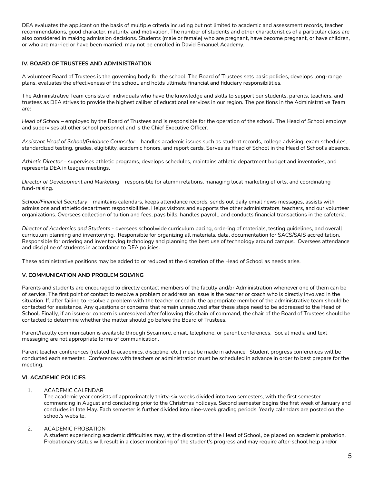DEA evaluates the applicant on the basis of multiple criteria including but not limited to academic and assessment records, teacher recommendations, good character, maturity, and motivation. The number of students and other characteristics of a particular class are also considered in making admission decisions. Students (male or female) who are pregnant, have become pregnant, or have children, or who are married or have been married, may not be enrolled in David Emanuel Academy.

### **IV. BOARD OF TRUSTEES AND ADMINISTRATION**

A volunteer Board of Trustees is the governing body for the school. The Board of Trustees sets basic policies, develops long-range plans, evaluates the effectiveness of the school, and holds ultimate financial and fiduciary responsibilities.

The Administrative Team consists of individuals who have the knowledge and skills to support our students, parents, teachers, and trustees as DEA strives to provide the highest caliber of educational services in our region. The positions in the Administrative Team are:

*Head of School* – employed by the Board of Trustees and is responsible for the operation of the school. The Head of School employs and supervises all other school personnel and is the Chief Executive Officer.

*Assistant Head of School/Guidance Counselor* – handles academic issues such as student records, college advising, exam schedules, standardized testing, grades, eligibility, academic honors, and report cards. Serves as Head of School in the Head of School's absence.

*Athletic Director* – supervises athletic programs, develops schedules, maintains athletic department budget and inventories, and represents DEA in league meetings.

*Director of Development and Marketing* – responsible for alumni relations, managing local marketing efforts, and coordinating fund-raising.

*School/Financial Secretary* – maintains calendars, keeps attendance records, sends out daily email news messages, assists with admissions and athletic department responsibilities. Helps visitors and supports the other administrators, teachers, and our volunteer organizations. Oversees collection of tuition and fees, pays bills, handles payroll, and conducts financial transactions in the cafeteria.

*Director of Academics and Students* - oversees schoolwide curriculum pacing, ordering of materials, testing guidelines, and overall curriculum planning and inventorying. Responsible for organizing all materials, data, documentation for SACS/SAIS accreditation. Responsible for ordering and inventorying technology and planning the best use of technology around campus. Oversees attendance and discipline of students in accordance to DEA policies.

These administrative positions may be added to or reduced at the discretion of the Head of School as needs arise.

# **V. COMMUNICATION AND PROBLEM SOLVING**

Parents and students are encouraged to directly contact members of the faculty and/or Administration whenever one of them can be of service. The first point of contact to resolve a problem or address an issue is the teacher or coach who is directly involved in the situation. If, after failing to resolve a problem with the teacher or coach, the appropriate member of the administrative team should be contacted for assistance. Any questions or concerns that remain unresolved after these steps need to be addressed to the Head of School. Finally, if an issue or concern is unresolved after following this chain of command, the chair of the Board of Trustees should be contacted to determine whether the matter should go before the Board of Trustees.

Parent/faculty communication is available through Sycamore, email, telephone, or parent conferences. Social media and text messaging are not appropriate forms of communication.

Parent teacher conferences (related to academics, discipline, etc.) must be made in advance. Student progress conferences will be conducted each semester. Conferences with teachers or administration must be scheduled in advance in order to best prepare for the meeting.

# **VI. ACADEMIC POLICIES**

### 1. ACADEMIC CALENDAR

The academic year consists of approximately thirty-six weeks divided into two semesters, with the first semester commencing in August and concluding prior to the Christmas holidays. Second semester begins the first week of January and concludes in late May. Each semester is further divided into nine-week grading periods. Yearly calendars are posted on the school's website.

### 2. ACADEMIC PROBATION

A student experiencing academic difficulties may, at the discretion of the Head of School, be placed on academic probation. Probationary status will result in a closer monitoring of the student's progress and may require after-school help and/or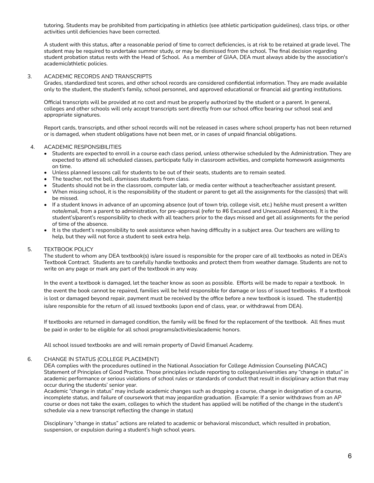tutoring. Students may be prohibited from participating in athletics (see athletic participation guidelines), class trips, or other activities until deficiencies have been corrected.

A student with this status, after a reasonable period of time to correct deficiencies, is at risk to be retained at grade level. The student may be required to undertake summer study, or may be dismissed from the school. The final decision regarding student probation status rests with the Head of School. As a member of GIAA, DEA must always abide by the association's academic/athletic policies.

### 3. ACADEMIC RECORDS AND TRANSCRIPTS

Grades, standardized test scores, and other school records are considered confidential information. They are made available only to the student, the student's family, school personnel, and approved educational or financial aid granting institutions.

Official transcripts will be provided at no cost and must be properly authorized by the student or a parent. In general, colleges and other schools will only accept transcripts sent directly from our school office bearing our school seal and appropriate signatures.

Report cards, transcripts, and other school records will not be released in cases where school property has not been returned or is damaged, when student obligations have not been met, or in cases of unpaid financial obligations.

### 4. ACADEMIC RESPONSIBILITIES

- Students are expected to enroll in a course each class period, unless otherwise scheduled by the Administration. They are expected to attend all scheduled classes, participate fully in classroom activities, and complete homework assignments on time.
- Unless planned lessons call for students to be out of their seats, students are to remain seated.
- The teacher, not the bell, dismisses students from class.
- Students should not be in the classroom, computer lab, or media center without a teacher/teacher assistant present.
- When missing school, it is the responsibility of the student or parent to get all the assignments for the class(es) that will be missed.
- If a student knows in advance of an upcoming absence (out of town trip, college visit, etc.) he/she must present a written note/email, from a parent to administration, for pre-approval (refer to #6 Excused and Unexcused Absences). It is the student's/parent's responsibility to check with all teachers prior to the days missed and get all assignments for the period of time of the absence.
- It is the student's responsibility to seek assistance when having difficulty in a subject area. Our teachers are willing to help, but they will not force a student to seek extra help.

### 5. TEXTBOOK POLICY

The student to whom any DEA textbook(s) is/are issued is responsible for the proper care of all textbooks as noted in DEA's Textbook Contract. Students are to carefully handle textbooks and protect them from weather damage. Students are not to write on any page or mark any part of the textbook in any way.

In the event a textbook is damaged, let the teacher know as soon as possible. Efforts will be made to repair a textbook. In the event the book cannot be repaired, families will be held responsible for damage or loss of issued textbooks. If a textbook is lost or damaged beyond repair, payment must be received by the office before a new textbook is issued. The student(s) is/are responsible for the return of all issued textbooks (upon end of class, year, or withdrawal from DEA).

If textbooks are returned in damaged condition, the family will be fined for the replacement of the textbook. All fines must be paid in order to be eligible for all school programs/activities/academic honors.

All school issued textbooks are and will remain property of David Emanuel Academy.

### 6. CHANGE IN STATUS (COLLEGE PLACEMENT)

DEA complies with the procedures outlined in the National Association for College Admission Counseling (NACAC) Statement of Principles of Good Practice. Those principles include reporting to colleges/universities any "change in status" in academic performance or serious violations of school rules or standards of conduct that result in disciplinary action that may occur during the students' senior year.

Academic "change in status" may include academic changes such as dropping a course, change in designation of a course, incomplete status, and failure of coursework that may jeopardize graduation. (Example: If a senior withdraws from an AP course or does not take the exam, colleges to which the student has applied will be notified of the change in the student's schedule via a new transcript reflecting the change in status)

Disciplinary "change in status" actions are related to academic or behavioral misconduct, which resulted in probation, suspension, or expulsion during a student's high school years.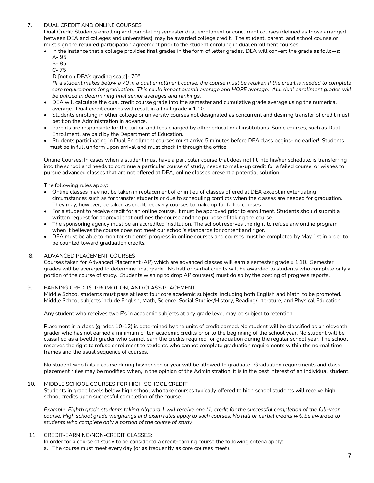# 7. DUAL CREDIT AND ONLINE COURSES

Dual Credit: Students enrolling and completing semester dual enrollment or concurrent courses (defined as those arranged between DEA and colleges and universities), may be awarded college credit. The student, parent, and school counselor must sign the required participation agreement prior to the student enrolling in dual enrollment courses.

- In the instance that a college provides final grades in the form of letter grades, DEA will convert the grade as follows:
	- A- 95
	- B- 85
	- C- 75

D [not on DEA's grading scale]- 70\*

\*If a student makes below a 70 in a dual enrollment course, the course must be retaken if the credit is needed to complete core requirements for graduation. This could impact overall average and HOPE average. ALL dual enrollment grades will *be utilized in determining final senior averages and rankings.*

- DEA will calculate the dual credit course grade into the semester and cumulative grade average using the numerical average. Dual credit courses will result in a final grade x 1.10.
- Students enrolling in other college or university courses not designated as concurrent and desiring transfer of credit must petition the Administration in advance.
- Parents are responsible for the tuition and fees charged by other educational institutions. Some courses, such as Dual Enrollment, are paid by the Department of Education.
- Students participating in Dual Enrollment courses must arrive 5 minutes before DEA class begins- no earlier! Students must be in full uniform upon arrival and must check in through the office.

Online Courses: In cases when a student must have a particular course that does not fit into his/her schedule, is transferring into the school and needs to continue a particular course of study, needs to make-up credit for a failed course, or wishes to pursue advanced classes that are not offered at DEA, online classes present a potential solution.

The following rules apply:

- Online classes may not be taken in replacement of or in lieu of classes offered at DEA except in extenuating circumstances such as for transfer students or due to scheduling conflicts when the classes are needed for graduation. They may, however, be taken as credit recovery courses to make up for failed courses.
- For a student to receive credit for an online course, it must be approved prior to enrollment. Students should submit a written request for approval that outlines the course and the purpose of taking the course.
- The sponsoring agency must be an accredited institution. The school reserves the right to refuse any online program when it believes the course does not meet our school's standards for content and rigor.
- DEA must be able to monitor students' progress in online courses and courses must be completed by May 1st in order to be counted toward graduation credits.

#### 8. ADVANCED PLACEMENT COURSES

Courses taken for Advanced Placement (AP) which are advanced classes will earn a semester grade x 1.10. Semester grades will be averaged to determine final grade. No half or partial credits will be awarded to students who complete only a portion of the course of study. Students wishing to drop AP course(s) must do so by the posting of progress reports.

### 9. EARNING CREDITS, PROMOTION, AND CLASS PLACEMENT

Middle School students must pass at least four core academic subjects, including both English and Math, to be promoted. Middle School subjects include English, Math, Science, Social Studies/History, Reading/Literature, and Physical Education.

Any student who receives two F's in academic subjects at any grade level may be subject to retention.

Placement in a class (grades 10-12) is determined by the units of credit earned. No student will be classified as an eleventh grader who has not earned a minimum of ten academic credits prior to the beginning of the school year. No student will be classified as a twelfth grader who cannot earn the credits required for graduation during the regular school year. The school reserves the right to refuse enrollment to students who cannot complete graduation requirements within the normal time frames and the usual sequence of courses.

No student who fails a course during his/her senior year will be allowed to graduate. Graduation requirements and class placement rules may be modified when, in the opinion of the Administration, it is in the best interest of an individual student.

### 10. MIDDLE SCHOOL COURSES FOR HIGH SCHOOL CREDIT

Students in grade levels below high school who take courses typically offered to high school students will receive high school credits upon successful completion of the course.

Example: Eighth grade students taking Algebra 1 will receive one (1) credit for the successful completion of the full-year course. High school grade weightings and exam rules apply to such courses. No half or partial credits will be awarded to *students who complete only a portion of the course of study.*

### 11. CREDIT-EARNING/NON-CREDIT CLASSES:

In order for a course of study to be considered a credit-earning course the following criteria apply:

a. The course must meet every day (or as frequently as core courses meet).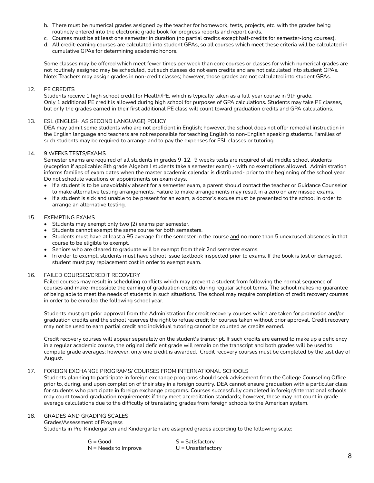- b. There must be numerical grades assigned by the teacher for homework, tests, projects, etc. with the grades being routinely entered into the electronic grade book for progress reports and report cards.
- c. Courses must be at least one semester in duration (no partial credits except half-credits for semester-long courses).
- d. All credit-earning courses are calculated into student GPAs, so all courses which meet these criteria will be calculated in cumulative GPAs for determining academic honors.

Some classes may be offered which meet fewer times per week than core courses or classes for which numerical grades are not routinely assigned may be scheduled, but such classes do not earn credits and are not calculated into student GPAs. Note: Teachers may assign grades in non-credit classes; however, those grades are not calculated into student GPAs.

### 12. PE CREDITS

Students receive 1 high school credit for Health/PE, which is typically taken as a full-year course in 9th grade. Only 1 additional PE credit is allowed during high school for purposes of GPA calculations. Students may take PE classes, but only the grades earned in their first additional PE class will count toward graduation credits and GPA calculations.

### 13. ESL (ENGLISH AS SECOND LANGUAGE) POLICY

DEA may admit some students who are not proficient in English; however, the school does not offer remedial instruction in the English language and teachers are not responsible for teaching English to non-English speaking students. Families of such students may be required to arrange and to pay the expenses for ESL classes or tutoring.

### 14. 9 WEEKS TESTS/EXAMS

Semester exams are required of all students in grades 9-12. 9 weeks tests are required of all middle school students (exception if applicable: 8th grade Algebra I students take a semester exam) - with no exemptions allowed. Administration informs families of exam dates when the master academic calendar is distributed- prior to the beginning of the school year. Do not schedule vacations or appointments on exam days.

- If a student is to be unavoidably absent for a semester exam, a parent should contact the teacher or Guidance Counselor to make alternative testing arrangements. Failure to make arrangements may result in a zero on any missed exams.
- If a student is sick and unable to be present for an exam, a doctor's excuse must be presented to the school in order to arrange an alternative testing.

### 15. EXEMPTING EXAMS

- Students may exempt only two (2) exams per semester.
- Students cannot exempt the same course for both semesters.
- Students must have at least a 95 average for the semester in the course and no more than 5 unexcused absences in that course to be eligible to exempt.
- Seniors who are cleared to graduate will be exempt from their 2nd semester exams.
- In order to exempt, students must have school issue textbook inspected prior to exams. If the book is lost or damaged, student must pay replacement cost in order to exempt exam.

### 16. FAILED COURSES/CREDIT RECOVERY

Failed courses may result in scheduling conflicts which may prevent a student from following the normal sequence of courses and make impossible the earning of graduation credits during regular school terms. The school makes no guarantee of being able to meet the needs of students in such situations. The school may require completion of credit recovery courses in order to be enrolled the following school year.

Students must get prior approval from the Administration for credit recovery courses which are taken for promotion and/or graduation credits and the school reserves the right to refuse credit for courses taken without prior approval. Credit recovery may not be used to earn partial credit and individual tutoring cannot be counted as credits earned.

Credit recovery courses will appear separately on the student's transcript. If such credits are earned to make up a deficiency in a regular academic course, the original deficient grade will remain on the transcript and both grades will be used to compute grade averages; however, only one credit is awarded. Credit recovery courses must be completed by the last day of August.

#### 17. FOREIGN EXCHANGE PROGRAMS/ COURSES FROM INTERNATIONAL SCHOOLS

Students planning to participate in foreign exchange programs should seek advisement from the College Counseling Office prior to, during, and upon completion of their stay in a foreign country. DEA cannot ensure graduation with a particular class for students who participate in foreign exchange programs. Courses successfully completed in foreign/international schools may count toward graduation requirements if they meet accreditation standards; however, these may not count in grade average calculations due to the difficulty of translating grades from foreign schools to the American system.

# 18. GRADES AND GRADING SCALES

Grades/Assessment of Progress Students in Pre-Kindergarten and Kindergarten are assigned grades according to the following scale:

| $G = Good$             | $S = Satisfactory$   |
|------------------------|----------------------|
| $N =$ Needs to Improve | $U =$ Unsatisfactory |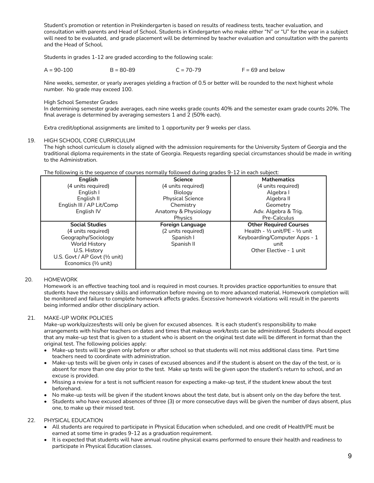Student's promotion or retention in Prekindergarten is based on results of readiness tests, teacher evaluation, and consultation with parents and Head of School. Students in Kindergarten who make either "N" or "U" for the year in a subject will need to be evaluated, and grade placement will be determined by teacher evaluation and consultation with the parents and the Head of School.

Students in grades 1-12 are graded according to the following scale:

 $A = 90-100$  B = 80-89 C = 70-79 F = 69 and below

Nine weeks, semester, or yearly averages yielding a fraction of 0.5 or better will be rounded to the next highest whole number. No grade may exceed 100.

High School Semester Grades

In determining semester grade averages, each nine weeks grade counts 40% and the semester exam grade counts 20%. The final average is determined by averaging semesters 1 and 2 (50% each).

Extra credit/optional assignments are limited to 1 opportunity per 9 weeks per class.

### 19. HIGH SCHOOL CORE CURRICULUM

The high school curriculum is closely aligned with the admission requirements for the University System of Georgia and the traditional diploma requirements in the state of Georgia. Requests regarding special circumstances should be made in writing to the Administration.

| <b>English</b>                 | <b>Science</b>          | <b>Mathematics</b>                                  |  |
|--------------------------------|-------------------------|-----------------------------------------------------|--|
| (4 units required)             | (4 units required)      | (4 units required)                                  |  |
| English I                      | Biology                 | Algebra I                                           |  |
| English II                     | <b>Physical Science</b> | Algebra II                                          |  |
| English III / AP Lit/Comp      | Chemistry               | Geometry                                            |  |
| English IV                     | Anatomy & Physiology    | Adv. Algebra & Trig.                                |  |
|                                | Physics                 | Pre-Calculus                                        |  |
|                                |                         |                                                     |  |
| <b>Social Studies</b>          | <b>Foreign Language</b> | <b>Other Required Courses</b>                       |  |
| (4 units required)             | (2 units required)      | Health - $\frac{1}{2}$ unit/PE - $\frac{1}{2}$ unit |  |
| Geography/Sociology            | Spanish I               | Keyboarding/Computer Apps - 1                       |  |
| World History                  | Spanish II              | unit                                                |  |
| U.S. History                   |                         | Other Elective - 1 unit                             |  |
| U.S. Govt / AP Govt (1/2 unit) |                         |                                                     |  |
| Economics (1/2 unit)           |                         |                                                     |  |

### The following is the sequence of courses normally followed during grades 9-12 in each subject:

#### 20. HOMEWORK

Homework is an effective teaching tool and is required in most courses. It provides practice opportunities to ensure that students have the necessary skills and information before moving on to more advanced material. Homework completion will be monitored and failure to complete homework affects grades. Excessive homework violations will result in the parents being informed and/or other disciplinary action.

### 21. MAKE-UP WORK POLICIES

Make-up work/quizzes/tests will only be given for excused absences. It is each student's responsibility to make arrangements with his/her teachers on dates and times that makeup work/tests can be administered. Students should expect that any make-up test that is given to a student who is absent on the original test date will be different in format than the original test. The following policies apply:

- Make-up tests will be given only before or after school so that students will not miss additional class time. Part time teachers need to coordinate with administration.
- Make-up tests will be given only in cases of excused absences and if the student is absent on the day of the test, or is absent for more than one day prior to the test. Make up tests will be given upon the student's return to school, and an excuse is provided.
- Missing a review for a test is not sufficient reason for expecting a make-up test, if the student knew about the test beforehand.
- No make-up tests will be given if the student knows about the test date, but is absent only on the day before the test.
- Students who have excused absences of three (3) or more consecutive days will be given the number of days absent, plus one, to make up their missed test.

### 22. PHYSICAL EDUCATION

- All students are required to participate in Physical Education when scheduled, and one credit of Health/PE must be earned at some time in grades 9-12 as a graduation requirement.
- It is expected that students will have annual routine physical exams performed to ensure their health and readiness to participate in Physical Education classes.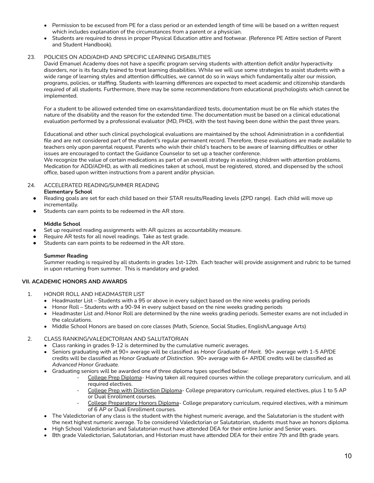- Permission to be excused from PE for a class period or an extended length of time will be based on a written request which includes explanation of the circumstances from a parent or a physician.
- Students are required to dress in proper Physical Education attire and footwear. (Reference PE Attire section of Parent and Student Handbook).

# 23. POLICIES ON ADD/ADHD AND SPECIFIC LEARNING DISABILITIES

David Emanuel Academy does not have a specific program serving students with attention deficit and/or hyperactivity disorders, nor is its faculty trained to treat learning disabilities. While we will use some strategies to assist students with a wide range of learning styles and attention difficulties, we cannot do so in ways which fundamentally alter our mission, programs, policies, or staffing. Students with learning differences are expected to meet academic and citizenship standards required of all students. Furthermore, there may be some recommendations from educational psychologists which cannot be implemented.

For a student to be allowed extended time on exams/standardized tests, documentation must be on file which states the nature of the disability and the reason for the extended time. The documentation must be based on a clinical educational evaluation performed by a professional evaluator (MD, PHD), with the test having been done within the past three years.

Educational and other such clinical psychological evaluations are maintained by the school Administration in a confidential file and are not considered part of the student's regular permanent record. Therefore, these evaluations are made available to teachers only upon parental request. Parents who wish their child's teachers to be aware of learning difficulties or other issues are encouraged to contact the Guidance Counselor to set up a teacher conference.

We recognize the value of certain medications as part of an overall strategy in assisting children with attention problems. Medication for ADD/ADHD, as with all medicines taken at school, must be registered, stored, and dispensed by the school office, based upon written instructions from a parent and/or physician.

24. ACCELERATED READING/SUMMER READING

### **Elementary School**

- Reading goals are set for each child based on their STAR results/Reading levels (ZPD range). Each child will move up incrementally.
- Students can earn points to be redeemed in the AR store.

### **Middle School**

- Set up required reading assignments with AR quizzes as accountability measure.
- Require AR tests for all novel readings. Take as test grade.
- Students can earn points to be redeemed in the AR store.

# **Summer Reading**

Summer reading is required by all students in grades 1st-12th. Each teacher will provide assignment and rubric to be turned in upon returning from summer. This is mandatory and graded.

# **VII. ACADEMIC HONORS AND AWARDS**

- 1. HONOR ROLL AND HEADMASTER LIST
	- Headmaster List Students with a 95 or above in every subject based on the nine weeks grading periods
	- Honor Roll Students with a 90-94 in every subject based on the nine weeks grading periods
	- Headmaster List and /Honor Roll are determined by the nine weeks grading periods. Semester exams are not included in the calculations.
	- Middle School Honors are based on core classes (Math, Science, Social Studies, English/Language Arts)

### 2. CLASS RANKING/VALEDICTORIAN AND SALUTATORIAN

- Class ranking in grades 9-12 is determined by the cumulative numeric averages.
- Seniors graduating with at 90+ average will be classified as *Honor Graduate of Merit.* 90+ average with 1-5 AP/DE credits will be classified as *Honor Graduate of Distinction*. 90+ average with 6+ AP/DE credits will be classified as *Advanced Honor Graduate.*
- Graduating seniors will be awarded one of three diploma types specified below:
	- College Prep Diploma- Having taken all required courses within the college preparatory curriculum, and all required electives.
	- College Prep with Distinction Diploma- College preparatory curriculum, required electives, plus 1 to 5 AP or Dual Enrollment courses.
	- College Preparatory Honors Diploma- College preparatory curriculum, required electives, with a minimum of 6 AP or Dual Enrollment courses.
- The Valedictorian of any class is the student with the highest numeric average, and the Salutatorian is the student with the next highest numeric average. To be considered Valedictorian or Salutatorian, students must have an honors diploma.
- High School Valedictorian and Salutatorian must have attended DEA for their entire Junior and Senior years.
- 8th grade Valedictorian, Salutatorian, and Historian must have attended DEA for their entire 7th and 8th grade years.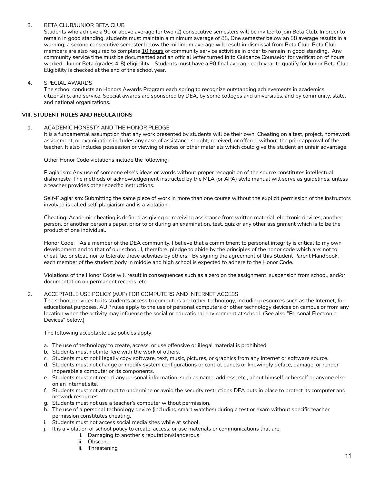### 3. BETA CLUB/JUNIOR BETA CLUB

Students who achieve a 90 or above average for two (2) consecutive semesters will be invited to join Beta Club. In order to remain in good standing, students must maintain a minimum average of 88. One semester below an 88 average results in a warning; a second consecutive semester below the minimum average will result in dismissal from Beta Club. Beta Club members are also required to complete 10 hours of community service activities in order to remain in good standing. Any community service time must be documented and an official letter turned in to Guidance Counselor for verification of hours worked. Junior Beta (grades 4-8) eligibility - Students must have a 90 final average each year to qualify for Junior Beta Club. Eligibility is checked at the end of the school year.

### 4. SPECIAL AWARDS

The school conducts an Honors Awards Program each spring to recognize outstanding achievements in academics, citizenship, and service. Special awards are sponsored by DEA, by some colleges and universities, and by community, state, and national organizations.

### **VIII. STUDENT RULES AND REGULATIONS**

### 1. ACADEMIC HONESTY AND THE HONOR PLEDGE

It is a fundamental assumption that any work presented by students will be their own. Cheating on a test, project, homework assignment, or examination includes any case of assistance sought, received, or offered without the prior approval of the teacher. It also includes possession or viewing of notes or other materials which could give the student an unfair advantage.

Other Honor Code violations include the following:

Plagiarism: Any use of someone else's ideas or words without proper recognition of the source constitutes intellectual dishonesty. The methods of acknowledgement instructed by the MLA (or APA) style manual will serve as guidelines, unless a teacher provides other specific instructions.

Self-Plagiarism: Submitting the same piece of work in more than one course without the explicit permission of the instructors involved is called self-plagiarism and is a violation.

Cheating: Academic cheating is defined as giving or receiving assistance from written material, electronic devices, another person, or another person's paper, prior to or during an examination, test, quiz or any other assignment which is to be the product of one individual.

Honor Code: "As a member of the DEA community, I believe that a commitment to personal integrity is critical to my own development and to that of our school. I, therefore, pledge to abide by the principles of the honor code which are: not to cheat, lie, or steal, nor to tolerate these activities by others." By signing the agreement of this Student Parent Handbook, each member of the student body in middle and high school is expected to adhere to the Honor Code.

Violations of the Honor Code will result in consequences such as a zero on the assignment, suspension from school, and/or documentation on permanent records, etc.

### 2. ACCEPTABLE USE POLICY (AUP) FOR COMPUTERS AND INTERNET ACCESS

The school provides to its students access to computers and other technology, including resources such as the Internet, for educational purposes. AUP rules apply to the use of personal computers or other technology devices on campus or from any location when the activity may influence the social or educational environment at school. (See also "Personal Electronic Devices" below.)

The following acceptable use policies apply:

- a. The use of technology to create, access, or use offensive or illegal material is prohibited.
- b. Students must not interfere with the work of others.
- c. Students must not illegally copy software, text, music, pictures, or graphics from any Internet or software source.
- d. Students must not change or modify system configurations or control panels or knowingly deface, damage, or render inoperable a computer or its components.
- e. Students must not record any personal information, such as name, address, etc., about himself or herself or anyone else on an Internet site.
- f. Students must not attempt to undermine or avoid the security restrictions DEA puts in place to protect its computer and network resources.
- g. Students must not use a teacher's computer without permission.
- h. The use of a personal technology device (including smart watches) during a test or exam without specific teacher permission constitutes cheating.
- i. Students must not access social media sites while at school.
- j. It is a violation of school policy to create, access, or use materials or communications that are:
	- i. Damaging to another's reputation/slanderous
	- ii. Obscene
	- iii. Threatening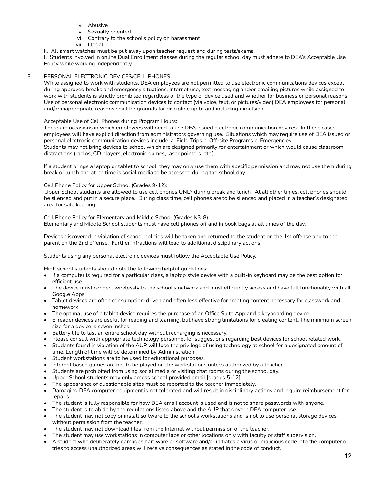- iv. Abusive
- v. Sexually oriented
- vi. Contrary to the school's policy on harassment
- vii. Illegal

k. All smart watches must be put away upon teacher request and during tests/exams.

l. Students involved in online Dual Enrollment classes during the regular school day must adhere to DEA's Acceptable Use Policy while working independently.

# 3. PERSONAL ELECTRONIC DEVICES/CELL PHONES

While assigned to work with students, DEA employees are not permitted to use electronic communications devices except during approved breaks and emergency situations. Internet use, text messaging and/or emailing pictures while assigned to work with students is strictly prohibited regardless of the type of device used and whether for business or personal reasons. Use of personal electronic communication devices to contact (via voice, text, or pictures/video) DEA employees for personal and/or inappropriate reasons shall be grounds for discipline up to and including expulsion.

### Acceptable Use of Cell Phones during Program Hours:

There are occasions in which employees will need to use DEA issued electronic communication devices. In these cases, employees will have explicit direction from administrators governing use. Situations which may require use of DEA issued or personal electronic communication devices include: a. Field Trips b. Off-site Programs c. Emergencies Students may not bring devices to school which are designed primarily for entertainment or which would cause classroom distractions (radios, CD players, electronic games, laser pointers, etc.).

If a student brings a laptop or tablet to school, they may only use them with specific permission and may not use them during break or lunch and at no time is social media to be accessed during the school day.

### Cell Phone Policy for Upper School (Grades 9-12):

Upper School students are allowed to use cell phones ONLY during break and lunch. At all other times, cell phones should be silenced and put in a secure place. During class time, cell phones are to be silenced and placed in a teacher's designated area for safe keeping.

Cell Phone Policy for Elementary and Middle School (Grades K3-8): Elementary and Middle School students must have cell phones off and in book bags at all times of the day.

Devices discovered in violation of school policies will be taken and returned to the student on the 1st offense and to the parent on the 2nd offense. Further infractions will lead to additional disciplinary actions.

Students using any personal electronic devices must follow the Acceptable Use Policy.

High school students should note the following helpful guidelines:

- If a computer is required for a particular class, a laptop style device with a built-in keyboard may be the best option for efficient use.
- The device must connect wirelessly to the school's network and must efficiently access and have full functionality with all Google Apps.
- Tablet devices are often consumption-driven and often less effective for creating content necessary for classwork and homework.
- The optimal use of a tablet device requires the purchase of an Office Suite App and a keyboarding device.
- E-reader devices are useful for reading and learning, but have strong limitations for creating content. The minimum screen size for a device is seven inches.
- Battery life to last an entire school day without recharging is necessary.
- Please consult with appropriate technology personnel for suggestions regarding best devices for school related work.
- Students found in violation of the AUP will lose the privilege of using technology at school for a designated amount of time. Length of time will be determined by Administration.
- Student workstations are to be used for educational purposes.
- Internet based games are not to be played on the workstations unless authorized by a teacher.
- Students are prohibited from using social media or visiting chat rooms during the school day.
- Upper School students may only access school provided email [grades 5-12].
- The appearance of questionable sites must be reported to the teacher immediately.
- Damaging DEA computer equipment is not tolerated and will result in disciplinary actions and require reimbursement for repairs.
- The student is fully responsible for how DEA email account is used and is not to share passwords with anyone.
- The student is to abide by the regulations listed above and the AUP that govern DEA computer use.
- The student may not copy or install software to the school's workstations and is not to use personal storage devices without permission from the teacher.
- The student may not download files from the Internet without permission of the teacher.
- The student may use workstations in computer labs or other locations only with faculty or staff supervision.
- A student who deliberately damages hardware or software and/or initiates a virus or malicious code into the computer or tries to access unauthorized areas will receive consequences as stated in the code of conduct.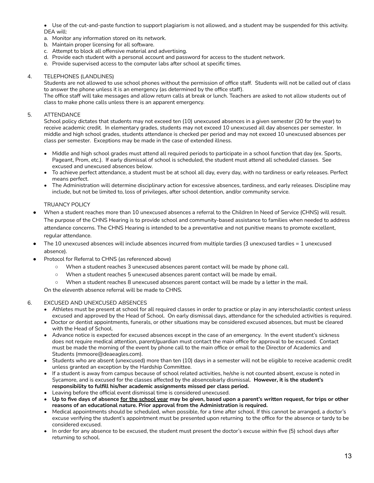• Use of the cut-and-paste function to support plagiarism is not allowed, and a student may be suspended for this activity. DEA will:

a. Monitor any information stored on its network.

- b. Maintain proper licensing for all software.
- c. Attempt to block all offensive material and advertising.
- d. Provide each student with a personal account and password for access to the student network.
- e. Provide supervised access to the computer labs after school at specific times.

#### 4. TELEPHONES (LANDLINES)

Students are not allowed to use school phones without the permission of office staff. Students will not be called out of class to answer the phone unless it is an emergency (as determined by the office staff).

The office staff will take messages and allow return calls at break or lunch. Teachers are asked to not allow students out of class to make phone calls unless there is an apparent emergency.

### 5. ATTENDANCE

School policy dictates that students may not exceed ten (10) unexcused absences in a given semester (20 for the year) to receive academic credit. In elementary grades, students may not exceed 10 unexcused all day absences per semester. In middle and high school grades, students attendance is checked per period and may not exceed 10 unexcused absences per class per semester. Exceptions may be made in the case of extended illness.

- Middle and high school grades must attend all required periods to participate in a school function that day (ex. Sports, Pageant, Prom, etc.). If early dismissal of school is scheduled, the student must attend all scheduled classes. See excused and unexcused absences below.
- To achieve perfect attendance, a student must be at school all day, every day, with no tardiness or early releases. Perfect means perfect.
- The Administration will determine disciplinary action for excessive absences, tardiness, and early releases. Discipline may include, but not be limited to, loss of privileges, after school detention, and/or community service.

### TRUANCY POLICY

- When a student reaches more than 10 unexcused absences a referral to the Children In Need of Service (CHNS) will result. The purpose of the CHNS Hearing is to provide school and community-based assistance to families when needed to address attendance concerns. The CHNS Hearing is intended to be a preventative and not punitive means to promote excellent, regular attendance.
- The 10 unexcused absences will include absences incurred from multiple tardies (3 unexcused tardies  $= 1$  unexcused absence).
	- Protocol for Referral to CHNS (as referenced above)
		- When a student reaches 3 unexcused absences parent contact will be made by phone call.
		- When a student reaches 5 unexcused absences parent contact will be made by email.
		- When a student reaches 8 unexcused absences parent contact will be made by a letter in the mail.

On the eleventh absence referral will be made to CHNS.

### 6. EXCUSED AND UNEXCUSED ABSENCES

- Athletes must be present at school for all required classes in order to practice or play in any interscholastic contest unless excused and approved by the Head of School. On early dismissal days, attendance for the scheduled activities is required.
- Doctor or dentist appointments, funerals, or other situations may be considered excused absences, but must be cleared with the Head of School.
- Advance notice is expected for excused absences except in the case of an emergency. In the event student's sickness does not require medical attention, parent/guardian must contact the main office for approval to be excused. Contact must be made the morning of the event by phone call to the main office or email to the Director of Academics and Students (mmoore@deaeagles.com).
- Students who are absent (unexcused) more than ten (10) days in a semester will not be eligible to receive academic credit unless granted an exception by the Hardship Committee.
- If a student is away from campus because of school related activities, he/she is not counted absent, excuse is noted in Sycamore, and is excused for the classes affected by the absence/early dismissal. **However, it is the student's responsibility to fulfill his/her academic assignments missed per class period.**
- Leaving before the official event dismissal time is considered unexcused.
- Up to five days of absence for the school year may be given, based upon a parent's written request, for trips or other **reasons of an educational nature. Prior approval from the Administration is required.**
- Medical appointments should be scheduled, when possible, for a time after school. If this cannot be arranged, a doctor's excuse verifying the student's appointment must be presented upon returning to the office for the absence or tardy to be considered excused.
- In order for any absence to be excused, the student must present the doctor's excuse within five (5) school days after returning to school.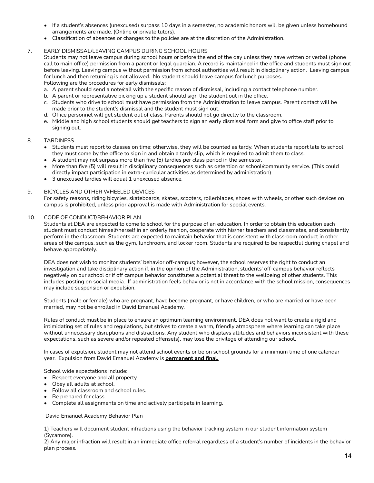- If a student's absences (unexcused) surpass 10 days in a semester, no academic honors will be given unless homebound arrangements are made. (Online or private tutors).
- Classification of absences or changes to the policies are at the discretion of the Administration.

### 7. EARLY DISMISSAL/LEAVING CAMPUS DURING SCHOOL HOURS

Students may not leave campus during school hours or before the end of the day unless they have written or verbal (phone call to main office) permission from a parent or legal guardian. A record is maintained in the office and students must sign out before leaving. Leaving campus without permission from school authorities will result in disciplinary action. Leaving campus for lunch and then returning is not allowed. No student should leave campus for lunch purposes. Following are the procedures for early dismissals:

- a. A parent should send a note/call with the specific reason of dismissal, including a contact telephone number.
- b. A parent or representative picking up a student should sign the student out in the office.
- c. Students who drive to school must have permission from the Administration to leave campus. Parent contact will be made prior to the student's dismissal and the student must sign out.
- d. Office personnel will get student out of class. Parents should not go directly to the classroom.
- e. Middle and high school students should get teachers to sign an early dismissal form and give to office staff prior to signing out.

### 8. TARDINESS

- Students must report to classes on time; otherwise, they will be counted as tardy. When students report late to school, they must come by the office to sign in and obtain a tardy slip, which is required to admit them to class.
- A student may not surpass more than five (5) tardies per class period in the semester.
- More than five (5) will result in disciplinary consequences such as detention or school/community service. (This could directly impact participation in extra-curricular activities as determined by administration)
- 3 unexcused tardies will equal 1 unexcused absence.

### 9. BICYCLES AND OTHER WHEELED DEVICES

For safety reasons, riding bicycles, skateboards, skates, scooters, rollerblades, shoes with wheels, or other such devices on campus is prohibited, unless prior approval is made with Administration for special events.

### 10. CODE OF CONDUCT/BEHAVIOR PLAN

Students at DEA are expected to come to school for the purpose of an education. In order to obtain this education each student must conduct himself/herself in an orderly fashion, cooperate with his/her teachers and classmates, and consistently perform in the classroom. Students are expected to maintain behavior that is consistent with classroom conduct in other areas of the campus, such as the gym, lunchroom, and locker room. Students are required to be respectful during chapel and behave appropriately.

DEA does not wish to monitor students' behavior off-campus; however, the school reserves the right to conduct an investigation and take disciplinary action if, in the opinion of the Administration, students' off-campus behavior reflects negatively on our school or if off campus behavior constitutes a potential threat to the wellbeing of other students. This includes posting on social media. If administration feels behavior is not in accordance with the school mission, consequences may include suspension or expulsion.

Students (male or female) who are pregnant, have become pregnant, or have children, or who are married or have been married, may not be enrolled in David Emanuel Academy.

Rules of conduct must be in place to ensure an optimum learning environment. DEA does not want to create a rigid and intimidating set of rules and regulations, but strives to create a warm, friendly atmosphere where learning can take place without unnecessary disruptions and distractions. Any student who displays attitudes and behaviors inconsistent with these expectations, such as severe and/or repeated offense(s), may lose the privilege of attending our school.

In cases of expulsion, student may not attend school events or be on school grounds for a minimum time of one calendar year. Expulsion from David Emanuel Academy is **permanent and final.**

School wide expectations include:

- Respect everyone and all property.
- Obey all adults at school.
- Follow all classroom and school rules.
- Be prepared for class.
- Complete all assignments on time and actively participate in learning.

David Emanuel Academy Behavior Plan

1) Teachers will document student infractions using the behavior tracking system in our student information system (Sycamore).

2) Any major infraction will result in an immediate office referral regardless of a student's number of incidents in the behavior plan process.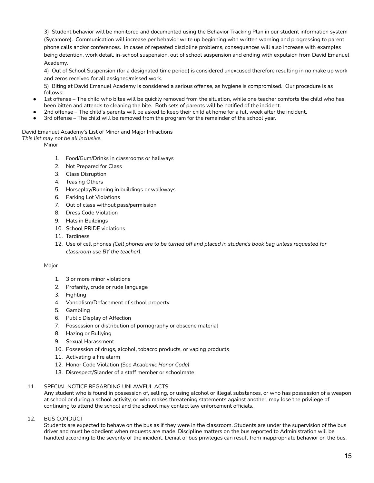3) Student behavior will be monitored and documented using the Behavior Tracking Plan in our student information system (Sycamore). Communication will increase per behavior write up beginning with written warning and progressing to parent phone calls and/or conferences. In cases of repeated discipline problems, consequences will also increase with examples being detention, work detail, in-school suspension, out of school suspension and ending with expulsion from David Emanuel Academy.

4) Out of School Suspension (for a designated time period) is considered unexcused therefore resulting in no make up work and zeros received for all assigned/missed work.

5) Biting at David Emanuel Academy is considered a serious offense, as hygiene is compromised. Our procedure is as follows:

- 1st offense The child who bites will be quickly removed from the situation, while one teacher comforts the child who has been bitten and attends to cleaning the bite. Both sets of parents will be notified of the incident.
- 2nd offense The child's parents will be asked to keep their child at home for a full week after the incident.
- 3rd offense The child will be removed from the program for the remainder of the school year.

# David Emanuel Academy's List of Minor and Major Infractions

*This list may not be all inclusive.*

Minor

- 1. Food/Gum/Drinks in classrooms or hallways
- 2. Not Prepared for Class
- 3. Class Disruption
- 4. Teasing Others
- 5. Horseplay/Running in buildings or walkways
- 6. Parking Lot Violations
- 7. Out of class without pass/permission
- 8. Dress Code Violation
- 9. Hats in Buildings
- 10. School PRIDE violations
- 11. Tardiness
- 12. Use of cell phones *(Cell phones are to be turned off and placed in student's book bag unless requested for classroom use BY the teacher).*

### Major

- 1. 3 or more minor violations
- 2. Profanity, crude or rude language
- 3. Fighting
- 4. Vandalism/Defacement of school property
- 5. Gambling
- 6. Public Display of Affection
- 7. Possession or distribution of pornography or obscene material
- 8. Hazing or Bullying
- 9. Sexual Harassment
- 10. Possession of drugs, alcohol, tobacco products, or vaping products
- 11. Activating a fire alarm
- 12. Honor Code Violation *(See Academic Honor Code)*
- 13. Disrespect/Slander of a staff member or schoolmate

### 11. SPECIAL NOTICE REGARDING UNLAWFUL ACTS

Any student who is found in possession of, selling, or using alcohol or illegal substances, or who has possession of a weapon at school or during a school activity, or who makes threatening statements against another, may lose the privilege of continuing to attend the school and the school may contact law enforcement officials.

12. BUS CONDUCT

Students are expected to behave on the bus as if they were in the classroom. Students are under the supervision of the bus driver and must be obedient when requests are made. Discipline matters on the bus reported to Administration will be handled according to the severity of the incident. Denial of bus privileges can result from inappropriate behavior on the bus.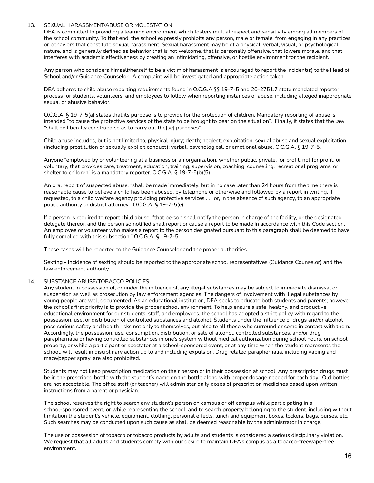### 13. SEXUAL HARASSMENT/ABUSE OR MOLESTATION

DEA is committed to providing a learning environment which fosters mutual respect and sensitivity among all members of the school community. To that end, the school expressly prohibits any person, male or female, from engaging in any practices or behaviors that constitute sexual harassment. Sexual harassment may be of a physical, verbal, visual, or psychological nature, and is generally defined as behavior that is not welcome, that is personally offensive, that lowers morale, and that interferes with academic effectiveness by creating an intimidating, offensive, or hostile environment for the recipient.

Any person who considers himself/herself to be a victim of harassment is encouraged to report the incident(s) to the Head of School and/or Guidance Counselor. A complaint will be investigated and appropriate action taken.

DEA adheres to child abuse reporting requirements found in O.C.G.A §§ 19-7-5 and 20-2751.7 state mandated reporter process for students, volunteers, and employees to follow when reporting instances of abuse, including alleged inappropriate sexual or abusive behavior.

O.C.G.A. § 19-7-5(a) states that its purpose is to provide for the protection of children. Mandatory reporting of abuse is intended "to cause the protective services of the state to be brought to bear on the situation". Finally, it states that the law "shall be liberally construed so as to carry out the[se] purposes".

Child abuse includes, but is not limited to, physical injury; death; neglect; exploitation; sexual abuse and sexual exploitation (including prostitution or sexually explicit conduct); verbal, psychological, or emotional abuse. O.C.G.A. § 19-7-5.

Anyone "employed by or volunteering at a business or an organization, whether public, private, for profit, not for profit, or voluntary, that provides care, treatment, education, training, supervision, coaching, counseling, recreational programs, or shelter to children" is a mandatory reporter. O.C.G.A. § 19-7-5(b)(5).

An oral report of suspected abuse, "shall be made immediately, but in no case later than 24 hours from the time there is reasonable cause to believe a child has been abused, by telephone or otherwise and followed by a report in writing, if requested, to a child welfare agency providing protective services . . . or, in the absence of such agency, to an appropriate police authority or district attorney." O.C.G.A. § 19-7-5(e).

If a person is required to report child abuse, "that person shall notify the person in charge of the facility, or the designated delegate thereof, and the person so notified shall report or cause a report to be made in accordance with this Code section. An employee or volunteer who makes a report to the person designated pursuant to this paragraph shall be deemed to have fully complied with this subsection." O.C.G.A. § 19-7-5

These cases will be reported to the Guidance Counselor and the proper authorities.

Sexting - Incidence of sexting should be reported to the appropriate school representatives (Guidance Counselor) and the law enforcement authority.

### 14. SUBSTANCE ABUSE/TOBACCO POLICIES

Any student in possession of, or under the influence of, any illegal substances may be subject to immediate dismissal or suspension as well as prosecution by law enforcement agencies. The dangers of involvement with illegal substances by young people are well documented. As an educational institution, DEA seeks to educate both students and parents; however, the school's first priority is to provide the proper school environment. To help ensure a safe, healthy, and productive educational environment for our students, staff, and employees, the school has adopted a strict policy with regard to the possession, use, or distribution of controlled substances and alcohol. Students under the influence of drugs and/or alcohol pose serious safety and health risks not only to themselves, but also to all those who surround or come in contact with them. Accordingly, the possession, use, consumption, distribution, or sale of alcohol, controlled substances, and/or drug paraphernalia or having controlled substances in one's system without medical authorization during school hours, on school property, or while a participant or spectator at a school-sponsored event, or at any time when the student represents the school, will result in disciplinary action up to and including expulsion. Drug related paraphernalia, including vaping and mace/pepper spray, are also prohibited.

Students may not keep prescription medication on their person or in their possession at school. Any prescription drugs must be in the prescribed bottle with the student's name on the bottle along with proper dosage needed for each day. Old bottles are not acceptable. The office staff (or teacher) will administer daily doses of prescription medicines based upon written instructions from a parent or physician.

The school reserves the right to search any student's person on campus or off campus while participating in a school-sponsored event, or while representing the school, and to search property belonging to the student, including without limitation the student's vehicle, equipment, clothing, personal effects, lunch and equipment boxes, lockers, bags, purses, etc. Such searches may be conducted upon such cause as shall be deemed reasonable by the administrator in charge.

The use or possession of tobacco or tobacco products by adults and students is considered a serious disciplinary violation. We request that all adults and students comply with our desire to maintain DEA's campus as a tobacco-free/vape-free environment.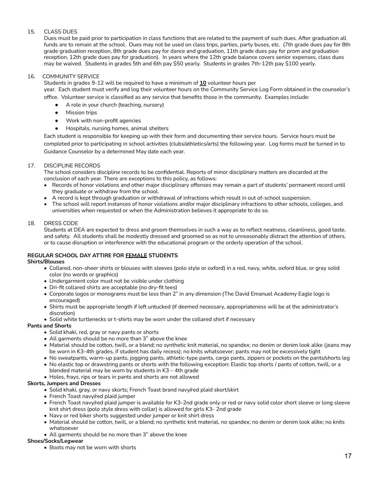# 15. CLASS DUES

Dues must be paid prior to participation in class functions that are related to the payment of such dues. After graduation all funds are to remain at the school. Dues may not be used on class trips, parties, party buses, etc. (7th grade dues pay for 8th grade graduation reception, 8th grade dues pay for dance and graduation, 11th grade dues pay for prom and graduation reception, 12th grade dues pay for graduation). In years where the 12th grade balance covers senior expenses, class dues may be waived. Students in grades 5th and 6th pay \$50 yearly. Students in grades 7th-12th pay \$100 yearly.

# 16. COMMUNITY SERVICE

Students in grades 9-12 will be required to have a minimum of **10** volunteer hours per

year. Each student must verify and log their volunteer hours on the Community Service Log Form obtained in the counselor's office. Volunteer service is classified as any service that benefits those in the community. Examples include:

- A role in your church (teaching, nursery)
- Mission trips
- Work with non-profit agencies
- Hospitals, nursing homes, animal shelters

Each student is responsible for keeping up with their form and documenting their service hours. Service hours must be completed prior to participating in school activities (clubs/athletics/arts) the following year. Log forms must be turned in to Guidance Counselor by a determined May date each year.

# 17. DISCIPLINE RECORDS

The school considers discipline records to be confidential. Reports of minor disciplinary matters are discarded at the conclusion of each year. There are exceptions to this policy, as follows:

- Records of honor violations and other major disciplinary offenses may remain a part of students' permanent record until they graduate or withdraw from the school.
- A record is kept through graduation or withdrawal of infractions which result in out of-school suspension.
- The school will report instances of honor violations and/or major disciplinary infractions to other schools, colleges, and universities when requested or when the Administration believes it appropriate to do so.

# 18. DRESS CODE

Students at DEA are expected to dress and groom themselves in such a way as to reflect neatness, cleanliness, good taste, and safety. All students shall be modestly dressed and groomed so as not to unreasonably distract the attention of others, or to cause disruption or interference with the educational program or the orderly operation of the school.

# **REGULAR SCHOOL DAY ATTIRE FOR FEMALE STUDENTS**

# **Shirts/Blouses**

- Collared, non-sheer shirts or blouses with sleeves (polo style or oxford) in a red, navy, white, oxford blue, or gray solid color (no words or graphics)
- Undergarment color must not be visible under clothing
- Dri-fit collared shirts are acceptable (no dry-fit tees)
- Corporate logos or monograms must be less than 2" in any dimension (The David Emanuel Academy Eagle logo is encouraged)
- Shirts must be appropriate length if left untucked (if deemed necessary, appropriateness will be at the administrator's discretion)
- Solid white turtlenecks or t-shirts may be worn under the collared shirt if necessary

# **Pants and Shorts**

- Solid khaki, red, gray or navy pants or shorts
- All garments should be no more than 3" above the knee
- Material should be cotton, twill, or a blend; no synthetic knit material, no spandex; no denim or denim look alike (jeans may be worn in K3-4th grades, if student has daily recess); no knits whatsoever; pants may not be excessively tight
- No sweatpants, warm-up pants, jogging pants, athletic-type pants, cargo pants, zippers or pockets on the pants/shorts leg • No elastic top or drawstring pants or shorts with the following exception: Elastic top shorts / pants of cotton, twill, or a
- blended material may be worn by students in K3 4th grade • Holes, frays, rips or tears in pants and shorts are not allowed

# **Skorts, Jumpers and Dresses**

- Solid khaki, gray, or navy skorts; French Toast brand navy/red plaid skort/skirt
- French Toast navy/red plaid jumper
- French Toast navy/red plaid jumper is available for K3-2nd grade only or red or navy solid color short sleeve or long sleeve knit shirt dress (polo style dress with collar) is allowed for girls K3- 2nd grade
- Navy or red biker shorts suggested under jumper or knit shirt dress
- Material should be cotton, twill, or a blend; no synthetic knit material, no spandex; no denim or denim look alike; no knits whatsoever
- All garments should be no more than 3" above the knee

# **Shoes/Socks/Legwear**

• Boots may not be worn with shorts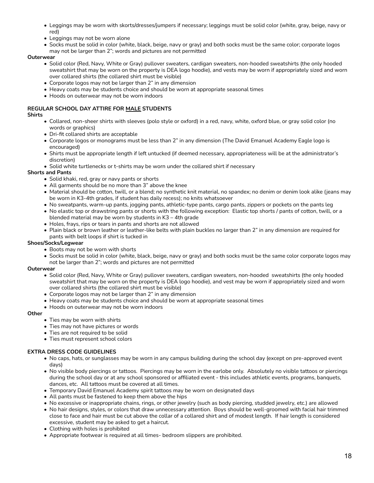- Leggings may be worn with skorts/dresses/jumpers if necessary; leggings must be solid color (white, gray, beige, navy or red)
- Leggings may not be worn alone
- Socks must be solid in color (white, black, beige, navy or gray) and both socks must be the same color; corporate logos
- may not be larger than 2"; words and pictures are not permitted

### **Outerwear**

- Solid color (Red, Navy, White or Gray) pullover sweaters, cardigan sweaters, non-hooded sweatshirts (the only hooded sweatshirt that may be worn on the property is DEA logo hoodie), and vests may be worn if appropriately sized and worn over collared shirts (the collared shirt must be visible)
- Corporate logos may not be larger than 2" in any dimension
- Heavy coats may be students choice and should be worn at appropriate seasonal times
- Hoods on outerwear may not be worn indoors

# **REGULAR SCHOOL DAY ATTIRE FOR MALE STUDENTS**

### **Shirts**

- Collared, non-sheer shirts with sleeves (polo style or oxford) in a red, navy, white, oxford blue, or gray solid color (no words or graphics)
- Dri-fit collared shirts are acceptable
- Corporate logos or monograms must be less than 2" in any dimension (The David Emanuel Academy Eagle logo is encouraged)
- Shirts must be appropriate length if left untucked (if deemed necessary, appropriateness will be at the administrator's discretion)
- Solid white turtlenecks or t-shirts may be worn under the collared shirt if necessary

# **Shorts and Pants**

- Solid khaki, red, gray or navy pants or shorts
- All garments should be no more than 3" above the knee
- Material should be cotton, twill, or a blend; no synthetic knit material, no spandex; no denim or denim look alike (jeans may be worn in K3-4th grades, if student has daily recess); no knits whatsoever
- No sweatpants, warm-up pants, jogging pants, athletic-type pants, cargo pants, zippers or pockets on the pants leg
- No elastic top or drawstring pants or shorts with the following exception: Elastic top shorts / pants of cotton, twill, or a blended material may be worn by students in K3 – 4th grade
- Holes, frays, rips or tears in pants and shorts are not allowed
- Plain black or brown leather or leather-like belts with plain buckles no larger than 2" in any dimension are required for pants with belt loops if shirt is tucked in

# **Shoes/Socks/Legwear**

- Boots may not be worn with shorts
- Socks must be solid in color (white, black, beige, navy or gray) and both socks must be the same color corporate logos may
- not be larger than 2"; words and pictures are not permitted

### **Outerwear**

- Solid color (Red, Navy, White or Gray) pullover sweaters, cardigan sweaters, non-hooded sweatshirts (the only hooded sweatshirt that may be worn on the property is DEA logo hoodie), and vest may be worn if appropriately sized and worn over collared shirts (the collared shirt must be visible)
- Corporate logos may not be larger than 2" in any dimension
- Heavy coats may be students choice and should be worn at appropriate seasonal times
- Hoods on outerwear may not be worn indoors

### **Other**

- Ties may be worn with shirts
- Ties may not have pictures or words
- Ties are not required to be solid
- Ties must represent school colors

### **EXTRA DRESS CODE GUIDELINES**

- No caps, hats, or sunglasses may be worn in any campus building during the school day (except on pre-approved event days)
- No visible body piercings or tattoos. Piercings may be worn in the earlobe only. Absolutely no visible tattoos or piercings during the school day or at any school sponsored or affiliated event - this includes athletic events, programs, banquets, dances, etc. All tattoos must be covered at all times.
- Temporary David Emanuel Academy spirit tattoos may be worn on designated days
- All pants must be fastened to keep them above the hips
- No excessive or inappropriate chains, rings, or other jewelry (such as body piercing, studded jewelry, etc.) are allowed
- No hair designs, styles, or colors that draw unnecessary attention. Boys should be well-groomed with facial hair trimmed close to face and hair must be cut above the collar of a collared shirt and of modest length. If hair length is considered excessive, student may be asked to get a haircut.
- Clothing with holes is prohibited
- Appropriate footwear is required at all times- bedroom slippers are prohibited.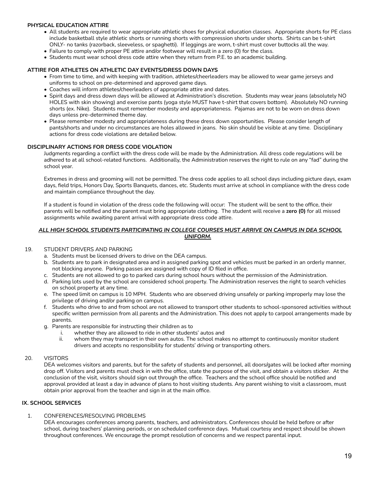### **PHYSICAL EDUCATION ATTIRE**

- All students are required to wear appropriate athletic shoes for physical education classes. Appropriate shorts for PE class include basketball style athletic shorts or running shorts with compression shorts under shorts. Shirts can be t-shirt ONLY- no tanks (razorback, sleeveless, or spaghetti). If leggings are worn, t-shirt must cover buttocks all the way.
- Failure to comply with proper PE attire and/or footwear will result in a zero (0) for the class.
- Students must wear school dress code attire when they return from P.E. to an academic building.

### **ATTIRE FOR ATHLETES ON ATHLETIC DAY EVENTS/DRESS DOWN DAYS**

- From time to time, and with keeping with tradition, athletes/cheerleaders may be allowed to wear game jerseys and uniforms to school on pre-determined and approved game days.
- Coaches will inform athletes/cheerleaders of appropriate attire and dates.
- Spirit days and dress down days will be allowed at Administration's discretion. Students may wear jeans (absolutely NO HOLES with skin showing) and exercise pants (yoga style MUST have t-shirt that covers bottom). Absolutely NO running shorts (ex. Nike). Students must remember modesty and appropriateness. Pajamas are not to be worn on dress down days unless pre-determined theme day.
- Please remember modesty and appropriateness during these dress down opportunities. Please consider length of pants/shorts and under no circumstances are holes allowed in jeans. No skin should be visible at any time. Disciplinary actions for dress code violations are detailed below.

### **DISCIPLINARY ACTIONS FOR DRESS CODE VIOLATION**

Judgments regarding a conflict with the dress code will be made by the Administration. All dress code regulations will be adhered to at all school-related functions. Additionally, the Administration reserves the right to rule on any "fad" during the school year.

Extremes in dress and grooming will not be permitted. The dress code applies to all school days including picture days, exam days, field trips, Honors Day, Sports Banquets, dances, etc. Students must arrive at school in compliance with the dress code and maintain compliance throughout the day.

If a student is found in violation of the dress code the following will occur: The student will be sent to the office, their parents will be notified and the parent must bring appropriate clothing. The student will receive a **zero (0)** for all missed assignments while awaiting parent arrival with appropriate dress code attire.

### *ALL HIGH SCHOOL STUDENTS PARTICIPATING IN COLLEGE COURSES MUST ARRIVE ON CAMPUS IN DEA SCHOOL UNIFORM.*

### 19. STUDENT DRIVERS AND PARKING

- a. Students must be licensed drivers to drive on the DEA campus.
- b. Students are to park in designated area and in assigned parking spot and vehicles must be parked in an orderly manner, not blocking anyone. Parking passes are assigned with copy of ID filed in office.
- c. Students are not allowed to go to parked cars during school hours without the permission of the Administration.
- d. Parking lots used by the school are considered school property. The Administration reserves the right to search vehicles on school property at any time.
- e. The speed limit on campus is 10 MPH. Students who are observed driving unsafely or parking improperly may lose the privilege of driving and/or parking on campus.
- f. Students who drive to and from school are not allowed to transport other students to school-sponsored activities without specific written permission from all parents and the Administration. This does not apply to carpool arrangements made by parents.
- g. Parents are responsible for instructing their children as to
	- i. whether they are allowed to ride in other students' autos and
	- ii. whom they may transport in their own autos. The school makes no attempt to continuously monitor student drivers and accepts no responsibility for students' driving or transporting others.

### 20. VISITORS

DEA welcomes visitors and parents, but for the safety of students and personnel, all doors/gates will be locked after morning drop off. Visitors and parents must check in with the office, state the purpose of the visit, and obtain a visitors sticker. At the conclusion of the visit, visitors should sign out through the office. Teachers and the school office should be notified and approval provided at least a day in advance of plans to host visiting students. Any parent wishing to visit a classroom, must obtain prior approval from the teacher and sign in at the main office.

### **IX. SCHOOL SERVICES**

# 1. CONFERENCES/RESOLVING PROBLEMS

DEA encourages conferences among parents, teachers, and administrators. Conferences should be held before or after school, during teachers' planning periods, or on scheduled conference days. Mutual courtesy and respect should be shown throughout conferences. We encourage the prompt resolution of concerns and we respect parental input.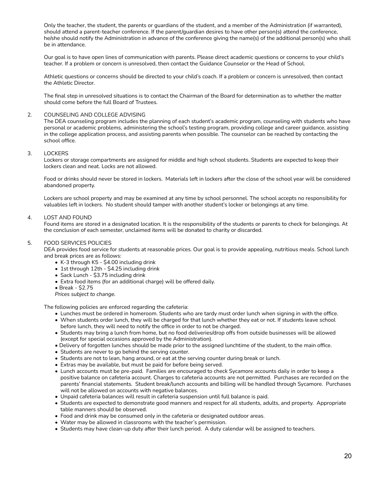Only the teacher, the student, the parents or guardians of the student, and a member of the Administration (if warranted), should attend a parent-teacher conference. If the parent/guardian desires to have other person(s) attend the conference, he/she should notify the Administration in advance of the conference giving the name(s) of the additional person(s) who shall be in attendance.

Our goal is to have open lines of communication with parents. Please direct academic questions or concerns to your child's teacher. If a problem or concern is unresolved, then contact the Guidance Counselor or the Head of School.

Athletic questions or concerns should be directed to your child's coach. If a problem or concern is unresolved, then contact the Athletic Director.

The final step in unresolved situations is to contact the Chairman of the Board for determination as to whether the matter should come before the full Board of Trustees.

### 2. COUNSELING AND COLLEGE ADVISING

The DEA counseling program includes the planning of each student's academic program, counseling with students who have personal or academic problems, administering the school's testing program, providing college and career guidance, assisting in the college application process, and assisting parents when possible. The counselor can be reached by contacting the school office.

### 3. LOCKERS

Lockers or storage compartments are assigned for middle and high school students. Students are expected to keep their lockers clean and neat. Locks are not allowed.

Food or drinks should never be stored in lockers. Materials left in lockers after the close of the school year will be considered abandoned property.

Lockers are school property and may be examined at any time by school personnel. The school accepts no responsibility for valuables left in lockers. No student should tamper with another student's locker or belongings at any time.

### 4. LOST AND FOUND

Found items are stored in a designated location. It is the responsibility of the students or parents to check for belongings. At the conclusion of each semester, unclaimed items will be donated to charity or discarded.

### 5. FOOD SERVICES POLICIES

DEA provides food service for students at reasonable prices. Our goal is to provide appealing, nutritious meals. School lunch and break prices are as follows:

- K-3 through K5 \$4.00 including drink
- 1st through 12th \$4.25 including drink
- Sack Lunch \$3.75 including drink
- Extra food items (for an additional charge) will be offered daily.
- Break \$2.75

*Prices subject to change.*

The following policies are enforced regarding the cafeteria:

- Lunches must be ordered in homeroom. Students who are tardy must order lunch when signing in with the office.
- When students order lunch, they will be charged for that lunch whether they eat or not. If students leave school before lunch, they will need to notify the office in order to not be charged.
- Students may bring a lunch from home, but no food deliveries/drop offs from outside businesses will be allowed (except for special occasions approved by the Administration).
- Delivery of forgotten lunches should be made prior to the assigned lunchtime of the student, to the main office.
- Students are never to go behind the serving counter.
- Students are not to lean, hang around, or eat at the serving counter during break or lunch.
- Extras may be available, but must be paid for before being served.
- Lunch accounts must be pre-paid. Families are encouraged to check Sycamore accounts daily in order to keep a positive balance on cafeteria account. Charges to cafeteria accounts are not permitted. Purchases are recorded on the parents' financial statements. Student break/lunch accounts and billing will be handled through Sycamore. Purchases will not be allowed on accounts with negative balances.
- Unpaid cafeteria balances will result in cafeteria suspension until full balance is paid.
- Students are expected to demonstrate good manners and respect for all students, adults, and property. Appropriate table manners should be observed.
- Food and drink may be consumed only in the cafeteria or designated outdoor areas.
- Water may be allowed in classrooms with the teacher's permission.
- Students may have clean-up duty after their lunch period. A duty calendar will be assigned to teachers.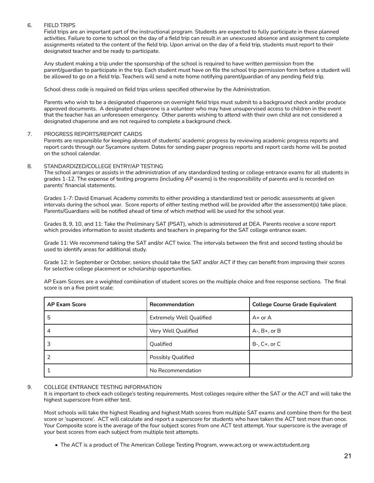### 6. FIELD TRIPS

Field trips are an important part of the instructional program. Students are expected to fully participate in these planned activities. Failure to come to school on the day of a field trip can result in an unexcused absence and assignment to complete assignments related to the content of the field trip. Upon arrival on the day of a field trip, students must report to their designated teacher and be ready to participate.

Any student making a trip under the sponsorship of the school is required to have written permission from the parent/guardian to participate in the trip. Each student must have on file the school trip permission form before a student will be allowed to go on a field trip. Teachers will send a note home notifying parent/guardian of any pending field trip.

School dress code is required on field trips unless specified otherwise by the Administration.

Parents who wish to be a designated chaperone on overnight field trips must submit to a background check and/or produce approved documents. A designated chaperone is a volunteer who may have unsupervised access to children in the event that the teacher has an unforeseen emergency. Other parents wishing to attend with their own child are not considered a designated chaperone and are not required to complete a background check.

### 7. PROGRESS REPORTS/REPORT CARDS

Parents are responsible for keeping abreast of students' academic progress by reviewing academic progress reports and report cards through our Sycamore system. Dates for sending paper progress reports and report cards home will be posted on the school calendar.

### 8. STANDARDIZED/COLLEGE ENTRY/AP TESTING

The school arranges or assists in the administration of any standardized testing or college entrance exams for all students in grades 1-12. The expense of testing programs (including AP exams) is the responsibility of parents and is recorded on parents' financial statements.

Grades 1-7: David Emanuel Academy commits to either providing a standardized test or periodic assessments at given intervals during the school year. Score reports of either testing method will be provided after the assessment(s) take place. Parents/Guardians will be notified ahead of time of which method will be used for the school year.

Grades 8, 9, 10, and 11: Take the Preliminary SAT (PSAT), which is administered at DEA. Parents receive a score report which provides information to assist students and teachers in preparing for the SAT college entrance exam.

Grade 11: We recommend taking the SAT and/or ACT twice. The intervals between the first and second testing should be used to identify areas for additional study.

Grade 12: In September or October, seniors should take the SAT and/or ACT if they can benefit from improving their scores for selective college placement or scholarship opportunities.

AP Exam Scores are a weighted combination of student scores on the multiple choice and free response sections. The final score is on a five point scale:

| <b>AP Exam Score</b> | Recommendation                  | <b>College Course Grade Equivalent</b> |
|----------------------|---------------------------------|----------------------------------------|
| 5                    | <b>Extremely Well Qualified</b> | $A+$ or $A$                            |
| 4                    | Very Well Qualified             | $A$ -, $B$ +, or $B$                   |
| 3                    | Qualified                       | $B-$ , $C+$ , or $C$                   |
|                      | Possibly Qualified              |                                        |
|                      | No Recommendation               |                                        |

### 9. COLLEGE ENTRANCE TESTING INFORMATION

It is important to check each college's testing requirements. Most colleges require either the SAT or the ACT and will take the highest superscore from either test.

Most schools will take the highest Reading and highest Math scores from multiple SAT exams and combine them for the best score or 'superscore'. ACT will calculate and report a superscore for students who have taken the ACT test more than once. Your Composite score is the average of the four subject scores from one ACT test attempt. Your superscore is the average of your best scores from each subject from multiple test attempts.

• The ACT is a product of The American College Testing Program, www.act.org or www.actstudent.org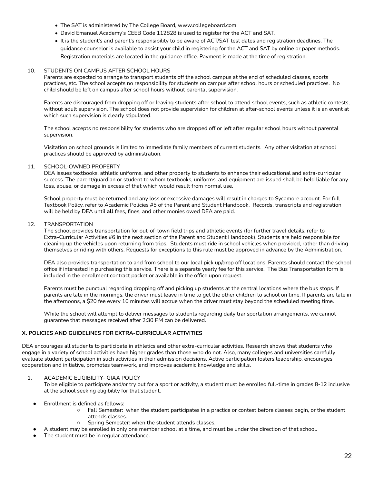- The SAT is administered by The College Board, www.collegeboard.com
- David Emanuel Academy's CEEB Code 112828 is used to register for the ACT and SAT.
- It is the student's and parent's responsibility to be aware of ACT/SAT test dates and registration deadlines. The guidance counselor is available to assist your child in registering for the ACT and SAT by online or paper methods. Registration materials are located in the guidance office. Payment is made at the time of registration.

### 10. STUDENTS ON CAMPUS AFTER SCHOOL HOURS

Parents are expected to arrange to transport students off the school campus at the end of scheduled classes, sports practices, etc. The school accepts no responsibility for students on campus after school hours or scheduled practices. No child should be left on campus after school hours without parental supervision.

Parents are discouraged from dropping off or leaving students after school to attend school events, such as athletic contests, without adult supervision. The school does not provide supervision for children at after-school events unless it is an event at which such supervision is clearly stipulated.

The school accepts no responsibility for students who are dropped off or left after regular school hours without parental supervision.

Visitation on school grounds is limited to immediate family members of current students. Any other visitation at school practices should be approved by administration.

### 11. SCHOOL-OWNED PROPERTY

DEA issues textbooks, athletic uniforms, and other property to students to enhance their educational and extra-curricular success. The parent/guardian or student to whom textbooks, uniforms, and equipment are issued shall be held liable for any loss, abuse, or damage in excess of that which would result from normal use.

School property must be returned and any loss or excessive damages will result in charges to Sycamore account. For full Textbook Policy, refer to Academic Policies #5 of the Parent and Student Handbook. Records, transcripts and registration will be held by DEA until **all** fees, fines, and other monies owed DEA are paid.

### 12. TRANSPORTATION

The school provides transportation for out-of-town field trips and athletic events (for further travel details, refer to Extra-Curricular Activities #6 in the next section of the Parent and Student Handbook). Students are held responsible for cleaning up the vehicles upon returning from trips. Students must ride in school vehicles when provided, rather than driving themselves or riding with others. Requests for exceptions to this rule must be approved in advance by the Administration.

DEA also provides transportation to and from school to our local pick up/drop off locations. Parents should contact the school office if interested in purchasing this service. There is a separate yearly fee for this service. The Bus Transportation form is included in the enrollment contract packet or available in the office upon request.

Parents must be punctual regarding dropping off and picking up students at the central locations where the bus stops. If parents are late in the mornings, the driver must leave in time to get the other children to school on time. If parents are late in the afternoons, a \$20 fee every 10 minutes will accrue when the driver must stay beyond the scheduled meeting time.

While the school will attempt to deliver messages to students regarding daily transportation arrangements, we cannot guarantee that messages received after 2:30 PM can be delivered.

# **X. POLICIES AND GUIDELINES FOR EXTRA-CURRICULAR ACTIVITIES**

DEA encourages all students to participate in athletics and other extra-curricular activities. Research shows that students who engage in a variety of school activities have higher grades than those who do not. Also, many colleges and universities carefully evaluate student participation in such activities in their admission decisions. Active participation fosters leadership, encourages cooperation and initiative, promotes teamwork, and improves academic knowledge and skills.

### 1. ACADEMIC ELIGIBILITY- GIAA POLICY

To be eligible to participate and/or try out for a sport or activity, a student must be enrolled full-time in grades 8-12 inclusive at the school seeking eligibility for that student.

- Enrollment is defined as follows:
	- Fall Semester: when the student participates in a practice or contest before classes begin, or the student attends classes.
	- Spring Semester: when the student attends classes.
	- A student may be enrolled in only one member school at a time, and must be under the direction of that school.
- The student must be in regular attendance.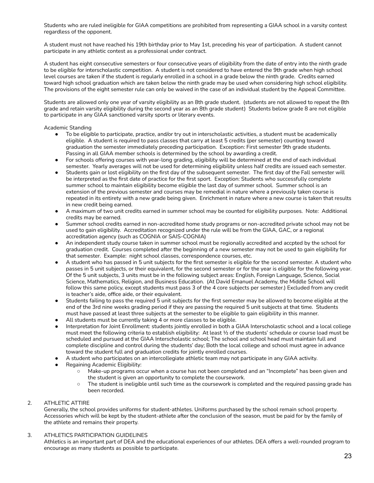Students who are ruled ineligible for GIAA competitions are prohibited from representing a GIAA school in a varsity contest regardless of the opponent.

A student must not have reached his 19th birthday prior to May 1st, preceding his year of participation. A student cannot participate in any athletic contest as a professional under contract.

A student has eight consecutive semesters or four consecutive years of eligibility from the date of entry into the ninth grade to be eligible for interscholastic competition. A student is not considered to have entered the 9th grade when high school level courses are taken if the student is regularly enrolled in a school in a grade below the ninth grade. Credits earned toward high school graduation which are taken below the ninth grade may be used when considering high school eligibility. The provisions of the eight semester rule can only be waived in the case of an individual student by the Appeal Committee.

Students are allowed only one year of varsity eligibility as an 8th grade student. (students are not allowed to repeat the 8th grade and retain varsity eligibility during the second year as an 8th grade student) Students below grade 8 are not eligible to participate in any GIAA sanctioned varsity sports or literary events.

Academic Standing

- To be eligible to participate, practice, and/or try out in interscholastic activities, a student must be academically eligible. A student is required to pass classes that carry at least 5 credits (per semester) counting toward graduation the semester immediately preceding participation. Exception: First semester 9th grade students. Passing in all GIAA member schools is determined by the school by awarding a credit.
- For schools offering courses with year-long grading, eligibility will be determined at the end of each individual semester. Yearly averages will not be used for determining eligibility unless half credits are issued each semester.
- Students gain or lost eligibility on the first day of the subsequent semester. The first day of the Fall semester will be interpreted as the first date of practice for the first sport. Exception: Students who successfully complete summer school to maintain eligibility become eligible the last day of summer school. Summer school is an extension of the previous semester and courses may be remedial in nature where a previously taken course is repeated in its entirety with a new grade being given. Enrichment in nature where a new course is taken that results in new credit being earned.
- A maximum of two unit credits earned in summer school may be counted for eligibility purposes. Note: Additional credits may be earned.
- Summer school credits earned in non-accredited home study programs or non-accredited private school may not be used to gain eligibility. Accreditation recognized under the rule will be from the GIAA, GAC, or a regional accreditation agency (such as COGNIA or SAIS-COGNIA)
- An independent study course taken in summer school must be regionally accredited and accpted by the school for graduation credit. Courses completed after the beginning of a new semester may not be used to gain eligibility for that semester. Example: night school classes, correspondence courses, etc.
- A student who has passed in 5 unit subjects for the first semester is eligible for the second semester. A student who passes in 5 unit subjects, or their equivalent, for the second semester or for the year is eligible for the following year. Of the 5 unit subjects, 3 units must be in the following subject areas: English, Foreign Language, Science, Social Science, Mathematics, Religion, and Business Education. (At David Emanuel Academy, the Middle School will follow this same policy, except students must pass 3 of the 4 core subjects per semester.) Excluded from any credit is teacher's aide, office aide, or their equivalent.
- Students failing to pass the required 5 unit subjects for the first semester may be allowed to become eligible at the end of the 3rd nine weeks grading period if they are passing the required 5 unit subjects at that time. Students must have passed at least three subjects at the semester to be eligible to gain eligibility in this manner.
- All students must be currently taking 4 or more classes to be eligible.
- Interpretation for Joint Enrollment: students jointly enrolled in both a GIAA Interscholastic school and a local college must meet the following criteria to establish eligibility: At least  $\frac{1}{2}$  of the students' schedule or course load must be scheduled and pursued at the GIAA Interscholastic school; The school and school head must maintain full and complete discipline and control during the students' day; Both the local college and school must agree in advance toward the student full and graduation credits for jointly enrolled courses.
- A student who participates on an intercollegiate athletic team may not participate in any GIAA activity.
- Regaining Academic Eligibility:
	- Make-up programs occur when a course has not been completed and an "Incomplete" has been given and the student is given an opportunity to complete the coursework.
	- The student is ineligible until such time as the coursework is completed and the required passing grade has been recorded.
- 2. ATHLETIC ATTIRE

Generally, the school provides uniforms for student-athletes. Uniforms purchased by the school remain school property. Accessories which will be kept by the student-athlete after the conclusion of the season, must be paid for by the family of the athlete and remains their property.

# 3. ATHLETICS PARTICIPATION GUIDELINES

Athletics is an important part of DEA and the educational experiences of our athletes. DEA offers a well-rounded program to encourage as many students as possible to participate.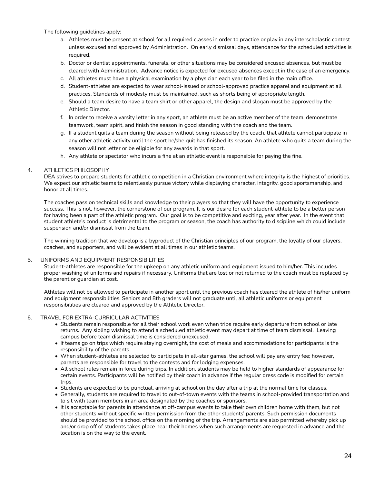The following guidelines apply:

- a. Athletes must be present at school for all required classes in order to practice or play in any interscholastic contest unless excused and approved by Administration. On early dismissal days, attendance for the scheduled activities is required.
- b. Doctor or dentist appointments, funerals, or other situations may be considered excused absences, but must be cleared with Administration. Advance notice is expected for excused absences except in the case of an emergency.
- c. All athletes must have a physical examination by a physician each year to be filed in the main office.
- d. Student-athletes are expected to wear school-issued or school-approved practice apparel and equipment at all practices. Standards of modesty must be maintained, such as shorts being of appropriate length.
- e. Should a team desire to have a team shirt or other apparel, the design and slogan must be approved by the Athletic Director.
- f. In order to receive a varsity letter in any sport, an athlete must be an active member of the team, demonstrate teamwork, team spirit, and finish the season in good standing with the coach and the team.
- g. If a student quits a team during the season without being released by the coach, that athlete cannot participate in any other athletic activity until the sport he/she quit has finished its season. An athlete who quits a team during the season will not letter or be eligible for any awards in that sport.
- h. Any athlete or spectator who incurs a fine at an athletic event is responsible for paying the fine.

### 4. ATHLETICS PHILOSOPHY

DEA strives to prepare students for athletic competition in a Christian environment where integrity is the highest of priorities. We expect our athletic teams to relentlessly pursue victory while displaying character, integrity, good sportsmanship, and honor at all times.

The coaches pass on technical skills and knowledge to their players so that they will have the opportunity to experience success. This is not, however, the cornerstone of our program. It is our desire for each student-athlete to be a better person for having been a part of the athletic program. Our goal is to be competitive and exciting, year after year. In the event that student athlete's conduct is detrimental to the program or season, the coach has authority to discipline which could include suspension and/or dismissal from the team.

The winning tradition that we develop is a byproduct of the Christian principles of our program, the loyalty of our players, coaches, and supporters, and will be evident at all times in our athletic teams.

### 5. UNIFORMS AND EQUIPMENT RESPONSIBILITIES

Student-athletes are responsible for the upkeep on any athletic uniform and equipment issued to him/her. This includes proper washing of uniforms and repairs if necessary. Uniforms that are lost or not returned to the coach must be replaced by the parent or guardian at cost.

Athletes will not be allowed to participate in another sport until the previous coach has cleared the athlete of his/her uniform and equipment responsibilities. Seniors and 8th graders will not graduate until all athletic uniforms or equipment responsibilities are cleared and approved by the Athletic Director.

### 6. TRAVEL FOR EXTRA-CURRICULAR ACTIVITIES

- Students remain responsible for all their school work even when trips require early departure from school or late returns. Any sibling wishing to attend a scheduled athletic event may depart at time of team dismissal. Leaving campus before team dismissal time is considered unexcused.
- If teams go on trips which require staying overnight, the cost of meals and accommodations for participants is the responsibility of the parents.
- When student-athletes are selected to participate in all-star games, the school will pay any entry fee; however, parents are responsible for travel to the contests and for lodging expenses.
- All school rules remain in force during trips. In addition, students may be held to higher standards of appearance for certain events. Participants will be notified by their coach in advance if the regular dress code is modified for certain trips.
- Students are expected to be punctual, arriving at school on the day after a trip at the normal time for classes.
- Generally, students are required to travel to out-of-town events with the teams in school-provided transportation and to sit with team members in an area designated by the coaches or sponsors.
- It is acceptable for parents in attendance at off-campus events to take their own children home with them, but not other students without specific written permission from the other students' parents. Such permission documents should be provided to the school office on the morning of the trip. Arrangements are also permitted whereby pick up and/or drop off of students takes place near their homes when such arrangements are requested in advance and the location is on the way to the event.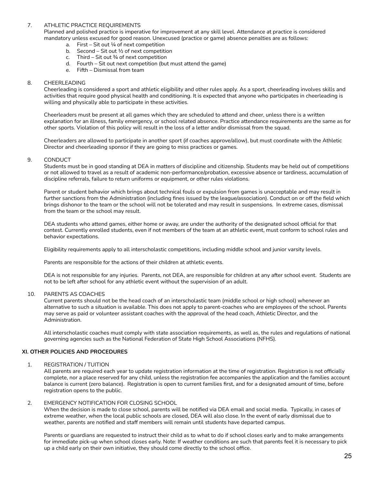### 7. ATHLETIC PRACTICE REQUIREMENTS

Planned and polished practice is imperative for improvement at any skill level. Attendance at practice is considered mandatory unless excused for good reason. Unexcused (practice or game) absence penalties are as follows:

- a. First Sit out  $\frac{1}{4}$  of next competition
- b. Second Sit out  $\frac{1}{2}$  of next competition<br>c. Third Sit out  $\frac{3}{4}$  of next competition
- Third Sit out  $\frac{3}{4}$  of next competition
- d. Fourth Sit out next competition (but must attend the game)
- e. Fifth Dismissal from team

### 8. CHEERLEADING

Cheerleading is considered a sport and athletic eligibility and other rules apply. As a sport, cheerleading involves skills and activities that require good physical health and conditioning. It is expected that anyone who participates in cheerleading is willing and physically able to participate in these activities.

Cheerleaders must be present at all games which they are scheduled to attend and cheer, unless there is a written explanation for an illness, family emergency, or school related absence. Practice attendance requirements are the same as for other sports. Violation of this policy will result in the loss of a letter and/or dismissal from the squad.

Cheerleaders are allowed to participate in another sport (if coaches approve/allow), but must coordinate with the Athletic Director and cheerleading sponsor if they are going to miss practices or games.

### 9. CONDUCT

Students must be in good standing at DEA in matters of discipline and citizenship. Students may be held out of competitions or not allowed to travel as a result of academic non-performance/probation, excessive absence or tardiness, accumulation of discipline referrals, failure to return uniforms or equipment, or other rules violations.

Parent or student behavior which brings about technical fouls or expulsion from games is unacceptable and may result in further sanctions from the Administration (including fines issued by the league/association). Conduct on or off the field which brings dishonor to the team or the school will not be tolerated and may result in suspensions. In extreme cases, dismissal from the team or the school may result.

DEA students who attend games, either home or away, are under the authority of the designated school official for that contest. Currently enrolled students, even if not members of the team at an athletic event, must conform to school rules and behavior expectations.

Eligibility requirements apply to all interscholastic competitions, including middle school and junior varsity levels.

Parents are responsible for the actions of their children at athletic events.

DEA is not responsible for any injuries. Parents, not DEA, are responsible for children at any after school event. Students are not to be left after school for any athletic event without the supervision of an adult.

### 10. PARENTS AS COACHES

Current parents should not be the head coach of an interscholastic team (middle school or high school) whenever an alternative to such a situation is available. This does not apply to parent-coaches who are employees of the school. Parents may serve as paid or volunteer assistant coaches with the approval of the head coach, Athletic Director, and the Administration.

All interscholastic coaches must comply with state association requirements, as well as, the rules and regulations of national governing agencies such as the National Federation of State High School Associations (NFHS).

# **XI. OTHER POLICIES AND PROCEDURES**

### 1. REGISTRATION / TUITION

All parents are required each year to update registration information at the time of registration. Registration is not officially complete, nor a place reserved for any child, unless the registration fee accompanies the application and the families account balance is current (zero balance). Registration is open to current families first, and for a designated amount of time, before registration opens to the public.

### 2. EMERGENCY NOTIFICATION FOR CLOSING SCHOOL

When the decision is made to close school, parents will be notified via DEA email and social media. Typically, in cases of extreme weather, when the local public schools are closed, DEA will also close. In the event of early dismissal due to weather, parents are notified and staff members will remain until students have departed campus.

Parents or guardians are requested to instruct their child as to what to do if school closes early and to make arrangements for immediate pick-up when school closes early. Note: If weather conditions are such that parents feel it is necessary to pick up a child early on their own initiative, they should come directly to the school office.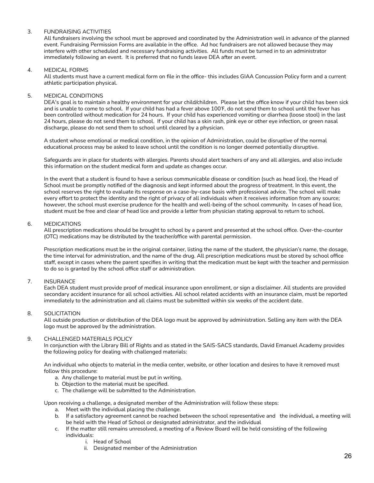# 3. FUNDRAISING ACTIVITIES

All fundraisers involving the school must be approved and coordinated by the Administration well in advance of the planned event. Fundraising Permission Forms are available in the office. Ad hoc fundraisers are not allowed because they may interfere with other scheduled and necessary fundraising activities. All funds must be turned in to an administrator immediately following an event. It is preferred that no funds leave DEA after an event.

### 4. MEDICAL FORMS

All students must have a current medical form on file in the office- this includes GIAA Concussion Policy form and a current athletic participation physical.

### 5. MEDICAL CONDITIONS

DEA's goal is to maintain a healthy environment for your child/children. Please let the office know if your child has been sick and is unable to come to school. If your child has had a fever above 100℉, do not send them to school until the fever has been controlled without medication for 24 hours. If your child has experienced vomiting or diarrhea (loose stool) in the last 24 hours, please do not send them to school. If your child has a skin rash, pink eye or other eye infection, or green nasal discharge, please do not send them to school until cleared by a physician.

A student whose emotional or medical condition, in the opinion of Administration, could be disruptive of the normal educational process may be asked to leave school until the condition is no longer deemed potentially disruptive.

Safeguards are in place for students with allergies. Parents should alert teachers of any and all allergies, and also include this information on the student medical form and update as changes occur.

In the event that a student is found to have a serious communicable disease or condition (such as head lice), the Head of School must be promptly notified of the diagnosis and kept informed about the progress of treatment. In this event, the school reserves the right to evaluate its response on a case-by-case basis with professional advice. The school will make every effort to protect the identity and the right of privacy of all individuals when it receives information from any source; however, the school must exercise prudence for the health and well-being of the school community. In cases of head lice, student must be free and clear of head lice and provide a letter from physician stating approval to return to school.

### 6. MEDICATIONS

All prescription medications should be brought to school by a parent and presented at the school office. Over-the-counter (OTC) medications may be distributed by the teacher/office with parental permission.

Prescription medications must be in the original container, listing the name of the student, the physician's name, the dosage, the time interval for administration, and the name of the drug. All prescription medications must be stored by school office staff, except in cases where the parent specifies in writing that the medication must be kept with the teacher and permission to do so is granted by the school office staff or administration.

# 7. INSURANCE

Each DEA student must provide proof of medical insurance upon enrollment, or sign a disclaimer. All students are provided secondary accident insurance for all school activities. All school related accidents with an insurance claim, must be reported immediately to the administration and all claims must be submitted within six weeks of the accident date.

# 8. SOLICITATION

All outside production or distribution of the DEA logo must be approved by administration. Selling any item with the DEA logo must be approved by the administration.

# 9. CHALLENGED MATERIALS POLICY

In conjunction with the Library Bill of Rights and as stated in the SAIS-SACS standards, David Emanuel Academy provides the following policy for dealing with challenged materials:

An individual who objects to material in the media center, website, or other location and desires to have it removed must follow this procedure:

- a. Any challenge to material must be put in writing.
- b. Objection to the material must be specified.
- c. The challenge will be submitted to the Administration.

Upon receiving a challenge, a designated member of the Administration will follow these steps:

- a. Meet with the individual placing the challenge.
- b. If a satisfactory agreement cannot be reached between the school representative and the individual, a meeting will be held with the Head of School or designated administrator, and the individual
- c. If the matter still remains unresolved, a meeting of a Review Board will be held consisting of the following individuals:
	- i. Head of School
	- ii. Designated member of the Administration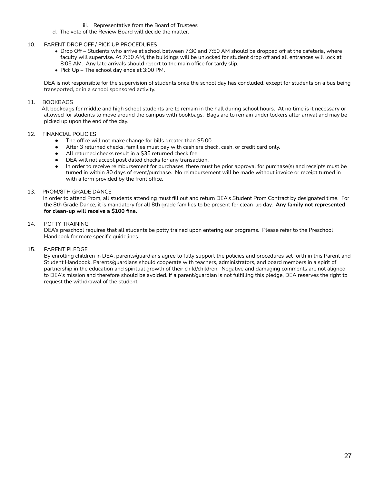- iii. Representative from the Board of Trustees
- d. The vote of the Review Board will decide the matter.

### 10. PARENT DROP OFF / PICK UP PROCEDURES

- Drop Off Students who arrive at school between 7:30 and 7:50 AM should be dropped off at the cafeteria, where faculty will supervise. At 7:50 AM, the buildings will be unlocked for student drop off and all entrances will lock at 8:05 AM. Any late arrivals should report to the main office for tardy slip.
- Pick Up The school day ends at 3:00 PM.

DEA is not responsible for the supervision of students once the school day has concluded, except for students on a bus being transported, or in a school sponsored activity.

### 11. BOOKBAGS

All bookbags for middle and high school students are to remain in the hall during school hours. At no time is it necessary or allowed for students to move around the campus with bookbags. Bags are to remain under lockers after arrival and may be picked up upon the end of the day.

## 12. FINANCIAL POLICIES

- The office will not make change for bills greater than \$5.00.
- After 3 returned checks, families must pay with cashiers check, cash, or credit card only.
- All returned checks result in a \$35 returned check fee.
- DEA will not accept post dated checks for any transaction.
- In order to receive reimbursement for purchases, there must be prior approval for purchase(s) and receipts must be turned in within 30 days of event/purchase. No reimbursement will be made without invoice or receipt turned in with a form provided by the front office.

### 13. PROM/8TH GRADE DANCE

In order to attend Prom, all students attending must fill out and return DEA's Student Prom Contract by designated time. For the 8th Grade Dance, it is mandatory for all 8th grade families to be present for clean-up day. **Any family not represented for clean-up will receive a \$100 fine.**

### 14. POTTY TRAINING

DEA's preschool requires that all students be potty trained upon entering our programs. Please refer to the Preschool Handbook for more specific guidelines.

### 15. PARENT PLEDGE

By enrolling children in DEA, parents/guardians agree to fully support the policies and procedures set forth in this Parent and Student Handbook. Parents/guardians should cooperate with teachers, administrators, and board members in a spirit of partnership in the education and spiritual growth of their child/children. Negative and damaging comments are not aligned to DEA's mission and therefore should be avoided. If a parent/guardian is not fulfilling this pledge, DEA reserves the right to request the withdrawal of the student.